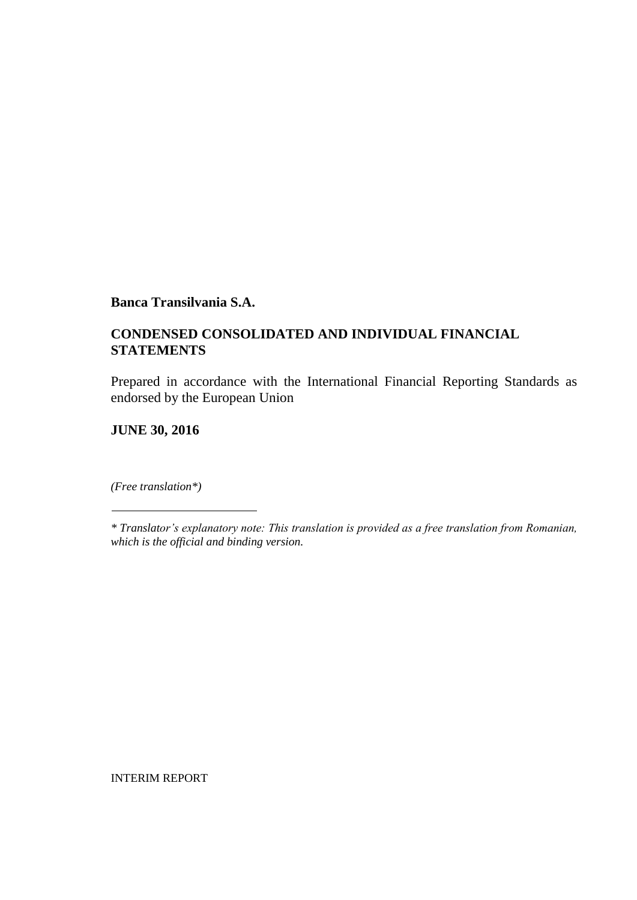### **CONDENSED CONSOLIDATED AND INDIVIDUAL FINANCIAL STATEMENTS**

Prepared in accordance with the International Financial Reporting Standards as endorsed by the European Union

**JUNE 30, 2016**

*(Free translation\*)*

INTERIM REPORT

*<sup>\*</sup> Translator's explanatory note: This translation is provided as a free translation from Romanian, which is the official and binding version.*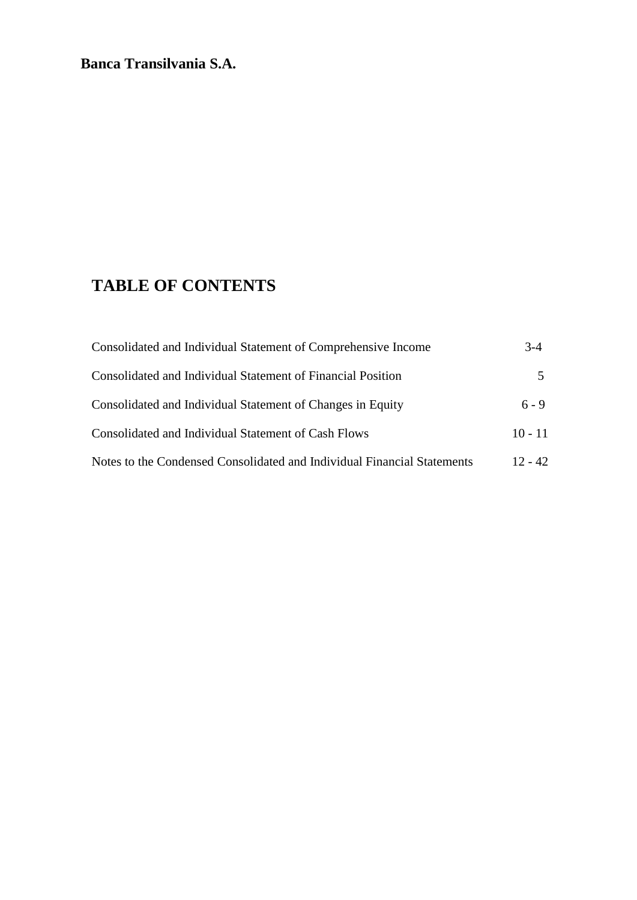# **TABLE OF CONTENTS**

| Consolidated and Individual Statement of Comprehensive Income           | $3 - 4$   |
|-------------------------------------------------------------------------|-----------|
| Consolidated and Individual Statement of Financial Position             |           |
| Consolidated and Individual Statement of Changes in Equity              | $6 - 9$   |
| Consolidated and Individual Statement of Cash Flows                     | $10 - 11$ |
| Notes to the Condensed Consolidated and Individual Financial Statements | $12 - 42$ |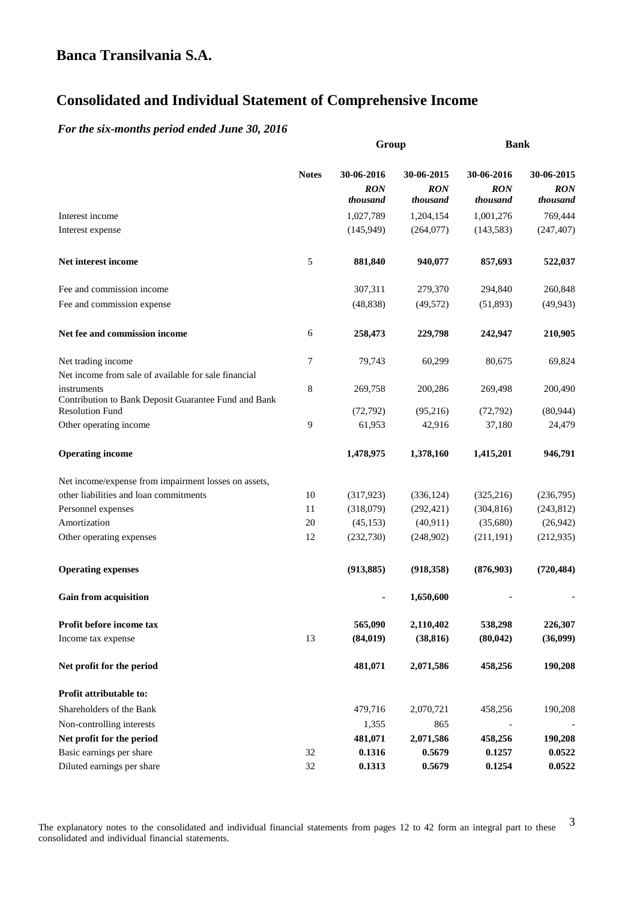# **Consolidated and Individual Statement of Comprehensive Income**

#### *For the six-months period ended June 30, 2016*

|                                                                                |              | Group                                |                                      |                                      | <b>Bank</b>                          |
|--------------------------------------------------------------------------------|--------------|--------------------------------------|--------------------------------------|--------------------------------------|--------------------------------------|
|                                                                                | <b>Notes</b> | 30-06-2016<br><b>RON</b><br>thousand | 30-06-2015<br><b>RON</b><br>thousand | 30-06-2016<br><b>RON</b><br>thousand | 30-06-2015<br><b>RON</b><br>thousand |
| Interest income                                                                |              | 1,027,789                            | 1,204,154                            | 1,001,276                            | 769,444                              |
| Interest expense                                                               |              | (145, 949)                           | (264,077)                            | (143, 583)                           | (247, 407)                           |
| Net interest income                                                            | 5            | 881,840                              | 940,077                              | 857,693                              | 522,037                              |
| Fee and commission income                                                      |              | 307,311                              | 279,370                              | 294,840                              | 260,848                              |
| Fee and commission expense                                                     |              | (48, 838)                            | (49, 572)                            | (51,893)                             | (49, 943)                            |
| Net fee and commission income                                                  | 6            | 258,473                              | 229,798                              | 242,947                              | 210,905                              |
| Net trading income                                                             | 7            | 79,743                               | 60,299                               | 80,675                               | 69,824                               |
| Net income from sale of available for sale financial<br>instruments            | 8            | 269,758                              | 200,286                              | 269,498                              | 200,490                              |
| Contribution to Bank Deposit Guarantee Fund and Bank<br><b>Resolution Fund</b> |              | (72, 792)                            | (95, 216)                            | (72, 792)                            | (80, 944)                            |
| Other operating income                                                         | 9            | 61,953                               | 42,916                               | 37,180                               | 24,479                               |
| <b>Operating income</b>                                                        |              | 1,478,975                            | 1,378,160                            | 1,415,201                            | 946,791                              |
| Net income/expense from impairment losses on assets,                           |              |                                      |                                      |                                      |                                      |
| other liabilities and loan commitments                                         | 10           | (317, 923)                           | (336, 124)                           | (325, 216)                           | (236,795)                            |
| Personnel expenses                                                             | 11           | (318,079)                            | (292, 421)                           | (304, 816)                           | (243, 812)                           |
| Amortization                                                                   | 20           | (45, 153)                            | (40, 911)                            | (35,680)                             | (26,942)                             |
| Other operating expenses                                                       | 12           | (232,730)                            | (248,902)                            | (211, 191)                           | (212, 935)                           |
| <b>Operating expenses</b>                                                      |              | (913, 885)                           | (918, 358)                           | (876,903)                            | (720, 484)                           |
| <b>Gain from acquisition</b>                                                   |              |                                      | 1,650,600                            |                                      |                                      |
| Profit before income tax                                                       |              | 565,090                              | 2,110,402                            | 538,298                              | 226,307                              |
| Income tax expense                                                             | 13           | (84, 019)                            | (38, 816)                            | (80, 042)                            | (36,099)                             |
| Net profit for the period                                                      |              | 481,071                              | 2,071,586                            | 458,256                              | 190,208                              |
| Profit attributable to:                                                        |              |                                      |                                      |                                      |                                      |
| Shareholders of the Bank                                                       |              | 479,716                              | 2,070,721                            | 458,256                              | 190,208                              |
| Non-controlling interests                                                      |              | 1,355                                | 865                                  |                                      |                                      |
| Net profit for the period                                                      |              | 481,071                              | 2,071,586                            | 458,256                              | 190,208                              |
| Basic earnings per share                                                       | 32           | 0.1316                               | 0.5679                               | 0.1257                               | 0.0522                               |
| Diluted earnings per share                                                     | 32           | 0.1313                               | 0.5679                               | 0.1254                               | 0.0522                               |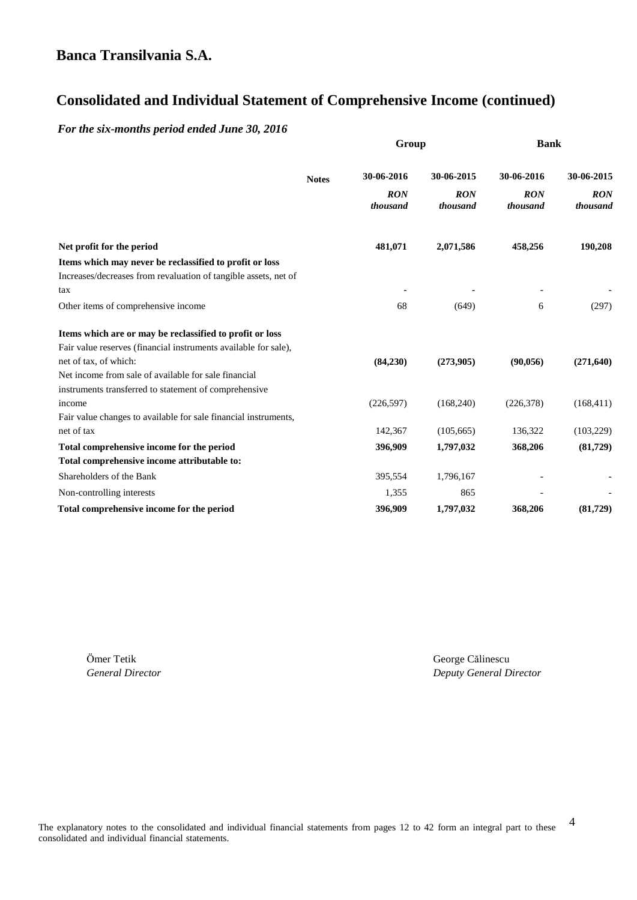# **Consolidated and Individual Statement of Comprehensive Income (continued)**

*For the six-months period ended June 30, 2016*

|                                                                 |              | Group                  |                        | <b>Bank</b>            |                        |  |
|-----------------------------------------------------------------|--------------|------------------------|------------------------|------------------------|------------------------|--|
|                                                                 | <b>Notes</b> | 30-06-2016             | 30-06-2015             | 30-06-2016             | 30-06-2015             |  |
|                                                                 |              | <b>RON</b><br>thousand | <b>RON</b><br>thousand | <b>RON</b><br>thousand | <b>RON</b><br>thousand |  |
| Net profit for the period                                       |              | 481,071                | 2,071,586              | 458,256                | 190,208                |  |
| Items which may never be reclassified to profit or loss         |              |                        |                        |                        |                        |  |
| Increases/decreases from revaluation of tangible assets, net of |              |                        |                        |                        |                        |  |
| tax                                                             |              |                        |                        |                        |                        |  |
| Other items of comprehensive income                             |              | 68                     | (649)                  | 6                      | (297)                  |  |
| Items which are or may be reclassified to profit or loss        |              |                        |                        |                        |                        |  |
| Fair value reserves (financial instruments available for sale), |              |                        |                        |                        |                        |  |
| net of tax, of which:                                           |              | (84,230)               | (273,905)              | (90,056)               | (271, 640)             |  |
| Net income from sale of available for sale financial            |              |                        |                        |                        |                        |  |
| instruments transferred to statement of comprehensive           |              |                        |                        |                        |                        |  |
| income                                                          |              | (226, 597)             | (168,240)              | (226, 378)             | (168, 411)             |  |
| Fair value changes to available for sale financial instruments, |              |                        |                        |                        |                        |  |
| net of tax                                                      |              | 142,367                | (105, 665)             | 136,322                | (103, 229)             |  |
| Total comprehensive income for the period                       |              | 396,909                | 1,797,032              | 368,206                | (81,729)               |  |
| Total comprehensive income attributable to:                     |              |                        |                        |                        |                        |  |
| Shareholders of the Bank                                        |              | 395,554                | 1,796,167              |                        |                        |  |
| Non-controlling interests                                       |              | 1,355                  | 865                    |                        |                        |  |
| Total comprehensive income for the period                       |              | 396,909                | 1,797,032              | 368,206                | (81,729)               |  |

Ӧmer Tetik George Călinescu

*General Director Deputy General Director*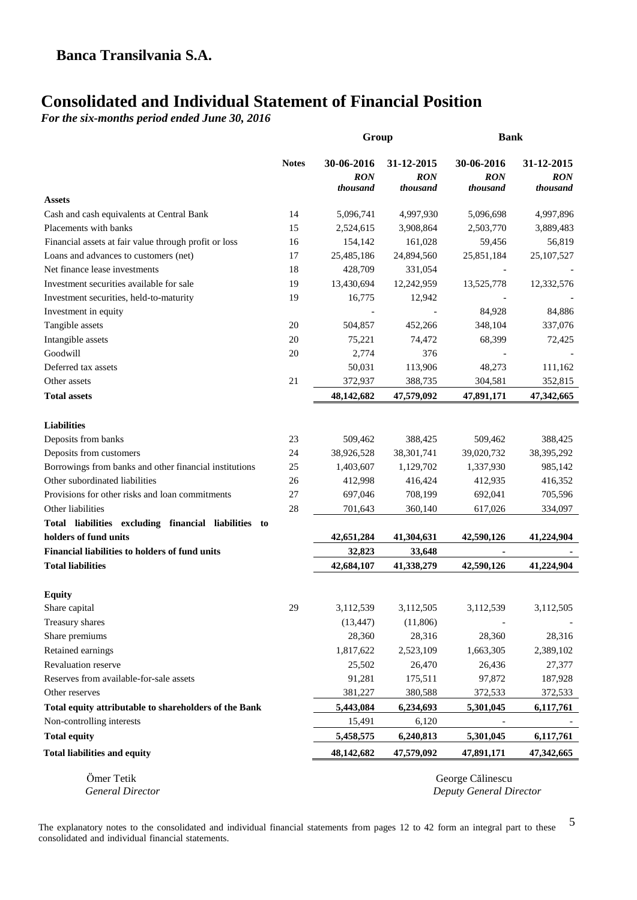# **Consolidated and Individual Statement of Financial Position**

*For the six-months period ended June 30, 2016*

|                                                        |              | Group                                | <b>Bank</b>                          |                                             |                                      |
|--------------------------------------------------------|--------------|--------------------------------------|--------------------------------------|---------------------------------------------|--------------------------------------|
|                                                        | <b>Notes</b> | 30-06-2016<br><b>RON</b><br>thousand | 31-12-2015<br><b>RON</b><br>thousand | 30-06-2016<br><b>RON</b><br>thousand        | 31-12-2015<br><b>RON</b><br>thousand |
| <b>Assets</b>                                          |              |                                      |                                      |                                             |                                      |
| Cash and cash equivalents at Central Bank              | 14           | 5,096,741                            | 4,997,930                            | 5,096,698                                   | 4,997,896                            |
| Placements with banks                                  | 15           | 2,524,615                            | 3,908,864                            | 2,503,770                                   | 3,889,483                            |
| Financial assets at fair value through profit or loss  | 16           | 154,142                              | 161,028                              | 59,456                                      | 56,819                               |
| Loans and advances to customers (net)                  | 17           | 25,485,186                           | 24,894,560                           | 25,851,184                                  | 25, 107, 527                         |
| Net finance lease investments                          | 18           | 428,709                              | 331,054                              |                                             |                                      |
| Investment securities available for sale               | 19           | 13,430,694                           | 12,242,959                           | 13,525,778                                  | 12,332,576                           |
| Investment securities, held-to-maturity                | 19           | 16,775                               | 12,942                               |                                             |                                      |
| Investment in equity                                   |              |                                      |                                      | 84,928                                      | 84,886                               |
| Tangible assets                                        | 20           | 504,857                              | 452,266                              | 348,104                                     | 337,076                              |
| Intangible assets                                      | 20           | 75,221                               | 74,472                               | 68,399                                      | 72,425                               |
| Goodwill                                               | 20           | 2,774                                | 376                                  |                                             |                                      |
| Deferred tax assets                                    |              | 50,031                               | 113,906                              | 48,273                                      | 111,162                              |
| Other assets                                           | 21           | 372,937                              | 388,735                              | 304,581                                     | 352,815                              |
| <b>Total assets</b>                                    |              | 48,142,682                           | 47,579,092                           | 47,891,171                                  | 47,342,665                           |
| <b>Liabilities</b>                                     |              |                                      |                                      |                                             |                                      |
| Deposits from banks                                    | 23           | 509,462                              | 388,425                              | 509,462                                     | 388,425                              |
| Deposits from customers                                | 24           | 38,926,528                           | 38,301,741                           | 39,020,732                                  | 38,395,292                           |
| Borrowings from banks and other financial institutions | 25           | 1,403,607                            | 1,129,702                            | 1,337,930                                   | 985,142                              |
| Other subordinated liabilities                         | 26           | 412,998                              | 416,424                              | 412,935                                     | 416,352                              |
| Provisions for other risks and loan commitments        | 27           | 697,046                              | 708,199                              | 692,041                                     | 705,596                              |
| Other liabilities                                      | 28           | 701,643                              | 360,140                              | 617,026                                     | 334,097                              |
| Total liabilities excluding financial liabilities to   |              |                                      |                                      |                                             |                                      |
| holders of fund units                                  |              | 42,651,284                           | 41,304,631                           | 42,590,126                                  | 41,224,904                           |
| <b>Financial liabilities to holders of fund units</b>  |              | 32,823                               | 33,648                               |                                             |                                      |
| <b>Total liabilities</b>                               |              | 42,684,107                           | 41,338,279                           | 42,590,126                                  | 41,224,904                           |
|                                                        |              |                                      |                                      |                                             |                                      |
| <b>Equity</b><br>Share capital                         | 29           | 3,112,539                            | 3,112,505                            | 3,112,539                                   | 3,112,505                            |
|                                                        |              |                                      | (11,806)                             |                                             |                                      |
| Treasury shares<br>Share premiums                      |              | (13, 447)<br>28,360                  | 28,316                               | 28,360                                      | 28,316                               |
|                                                        |              |                                      | 2,523,109                            |                                             |                                      |
| Retained earnings                                      |              | 1,817,622                            |                                      | 1,663,305                                   | 2,389,102                            |
| <b>Revaluation reserve</b>                             |              | 25,502                               | 26,470                               | 26,436                                      | 27,377                               |
| Reserves from available-for-sale assets                |              | 91,281                               | 175,511                              | 97,872                                      | 187,928                              |
| Other reserves                                         |              | 381,227                              | 380,588                              | 372,533                                     | 372,533                              |
| Total equity attributable to shareholders of the Bank  |              | 5,443,084                            | 6,234,693                            | 5,301,045                                   | 6,117,761                            |
| Non-controlling interests                              |              | 15,491                               | 6,120                                |                                             |                                      |
| <b>Total equity</b>                                    |              | 5,458,575                            | 6,240,813                            | 5,301,045                                   | 6,117,761                            |
| <b>Total liabilities and equity</b>                    |              | 48,142,682                           | 47,579,092                           | 47,891,171                                  | 47,342,665                           |
| Ömer Tetik<br><b>General Director</b>                  |              |                                      |                                      | George Călinescu<br>Deputy General Director |                                      |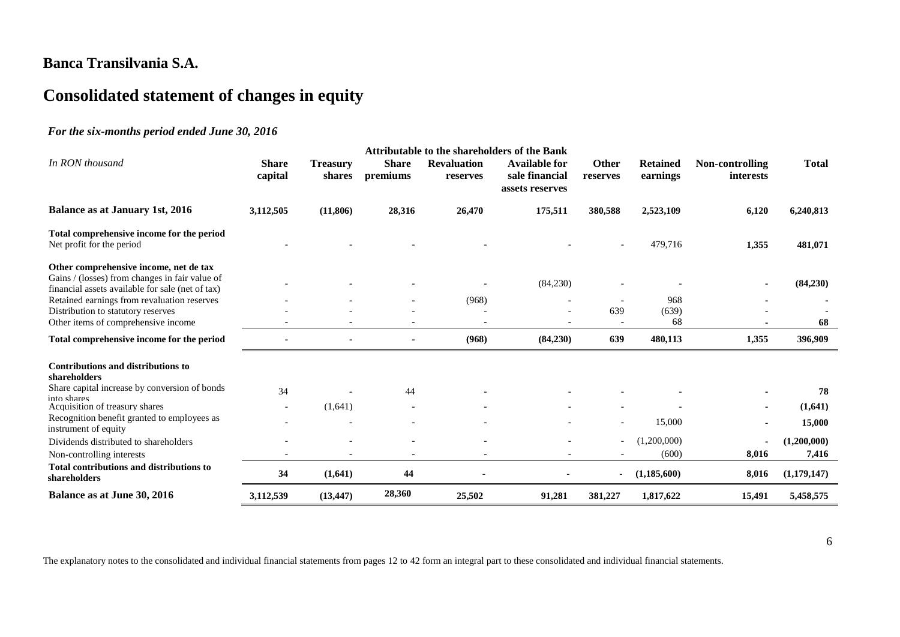# **Consolidated statement of changes in equity**

#### *For the six-months period ended June 30, 2016*

|                                                                                                                                              |                         |                           |                          |                                | Attributable to the shareholders of the Bank              |                          |                             |                              |              |
|----------------------------------------------------------------------------------------------------------------------------------------------|-------------------------|---------------------------|--------------------------|--------------------------------|-----------------------------------------------------------|--------------------------|-----------------------------|------------------------------|--------------|
| In RON thousand                                                                                                                              | <b>Share</b><br>capital | <b>Treasury</b><br>shares | <b>Share</b><br>premiums | <b>Revaluation</b><br>reserves | <b>Available for</b><br>sale financial<br>assets reserves | Other<br>reserves        | <b>Retained</b><br>earnings | Non-controlling<br>interests | <b>Total</b> |
| <b>Balance as at January 1st, 2016</b>                                                                                                       | 3,112,505               | (11, 806)                 | 28,316                   | 26,470                         | 175,511                                                   | 380,588                  | 2,523,109                   | 6,120                        | 6,240,813    |
| Total comprehensive income for the period<br>Net profit for the period                                                                       |                         |                           |                          |                                |                                                           | $\overline{\phantom{a}}$ | 479,716                     | 1,355                        | 481,071      |
| Other comprehensive income, net de tax<br>Gains / (losses) from changes in fair value of<br>financial assets available for sale (net of tax) |                         |                           |                          |                                | (84,230)                                                  |                          |                             |                              | (84,230)     |
| Retained earnings from revaluation reserves                                                                                                  |                         |                           |                          | (968)                          |                                                           | $\overline{\phantom{a}}$ | 968                         |                              |              |
| Distribution to statutory reserves                                                                                                           |                         |                           |                          |                                |                                                           | 639                      | (639)                       |                              |              |
| Other items of comprehensive income                                                                                                          |                         |                           |                          |                                |                                                           |                          | 68                          |                              | 68           |
| Total comprehensive income for the period                                                                                                    |                         |                           |                          | (968)                          | (84,230)                                                  | 639                      | 480,113                     | 1,355                        | 396,909      |
| <b>Contributions and distributions to</b><br>shareholders                                                                                    |                         |                           |                          |                                |                                                           |                          |                             |                              |              |
| Share capital increase by conversion of bonds                                                                                                | 34                      |                           | 44                       |                                |                                                           |                          |                             |                              | 78           |
| into shares<br>Acquisition of treasury shares                                                                                                |                         | (1,641)                   |                          |                                |                                                           |                          |                             |                              | (1,641)      |
| Recognition benefit granted to employees as<br>instrument of equity                                                                          |                         |                           |                          |                                |                                                           |                          | 15,000                      |                              | 15,000       |
| Dividends distributed to shareholders                                                                                                        |                         |                           |                          |                                |                                                           | $\overline{\phantom{a}}$ | (1,200,000)                 |                              | (1,200,000)  |
| Non-controlling interests                                                                                                                    |                         |                           |                          |                                |                                                           |                          | (600)                       | 8,016                        | 7,416        |
| Total contributions and distributions to<br>shareholders                                                                                     | 34                      | (1,641)                   | 44                       |                                |                                                           | $\sim$                   | (1,185,600)                 | 8,016                        | (1,179,147)  |
| Balance as at June 30, 2016                                                                                                                  | 3,112,539               | (13, 447)                 | 28,360                   | 25,502                         | 91,281                                                    | 381,227                  | 1,817,622                   | 15,491                       | 5,458,575    |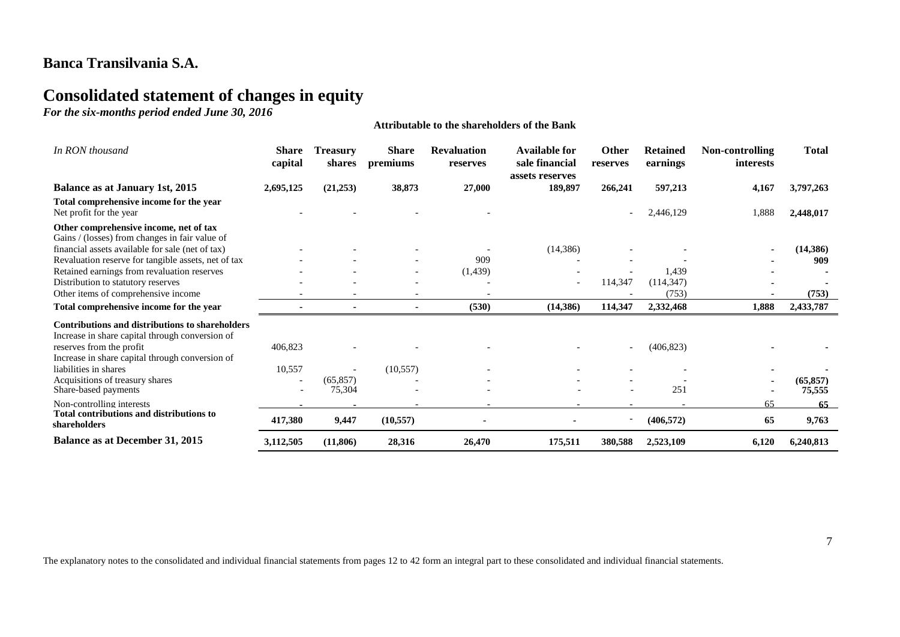# **Consolidated statement of changes in equity**

*For the six-months period ended June 30, 2016*

| In RON thousand                                                                                                                       | <b>Share</b><br>capital | <b>Treasury</b><br>shares | <b>Share</b><br>premiums | <b>Revaluation</b><br>reserves | <b>Available for</b><br>sale financial<br>assets reserves | <b>Other</b><br>reserves | <b>Retained</b><br>earnings | Non-controlling<br>interests | <b>Total</b>        |
|---------------------------------------------------------------------------------------------------------------------------------------|-------------------------|---------------------------|--------------------------|--------------------------------|-----------------------------------------------------------|--------------------------|-----------------------------|------------------------------|---------------------|
| Balance as at January 1st, 2015                                                                                                       | 2,695,125               | (21,253)                  | 38,873                   | 27,000                         | 189,897                                                   | 266,241                  | 597,213                     | 4,167                        | 3,797,263           |
| Total comprehensive income for the year<br>Net profit for the year                                                                    |                         |                           |                          |                                |                                                           |                          | 2,446,129                   | 1,888                        | 2,448,017           |
| Other comprehensive income, net of tax<br>Gains / (losses) from changes in fair value of                                              |                         |                           |                          |                                |                                                           |                          |                             |                              |                     |
| financial assets available for sale (net of tax)                                                                                      |                         |                           |                          |                                | (14, 386)                                                 |                          |                             |                              | (14, 386)           |
| Revaluation reserve for tangible assets, net of tax                                                                                   |                         |                           |                          | 909                            |                                                           |                          |                             |                              | 909                 |
| Retained earnings from revaluation reserves                                                                                           |                         |                           |                          | (1,439)                        |                                                           |                          | 1.439                       |                              |                     |
| Distribution to statutory reserves                                                                                                    |                         |                           |                          |                                |                                                           | 114,347                  | (114, 347)                  |                              |                     |
| Other items of comprehensive income                                                                                                   |                         |                           |                          |                                |                                                           |                          | (753)                       |                              | (753)               |
| Total comprehensive income for the year                                                                                               |                         |                           |                          | (530)                          | (14,386)                                                  | 114,347                  | 2,332,468                   | 1,888                        | 2,433,787           |
| <b>Contributions and distributions to shareholders</b><br>Increase in share capital through conversion of<br>reserves from the profit | 406,823                 |                           |                          |                                |                                                           |                          | (406, 823)                  |                              |                     |
| Increase in share capital through conversion of                                                                                       |                         |                           |                          |                                |                                                           |                          |                             |                              |                     |
| liabilities in shares                                                                                                                 | 10,557                  |                           | (10, 557)                |                                |                                                           |                          |                             |                              |                     |
| Acquisitions of treasury shares<br>Share-based payments                                                                               |                         | (65, 857)<br>75,304       |                          |                                |                                                           |                          | 251                         |                              | (65, 857)<br>75,555 |
| Non-controlling interests                                                                                                             |                         |                           |                          |                                |                                                           |                          |                             | 65                           | 65                  |
| <b>Total contributions and distributions to</b><br>shareholders                                                                       | 417,380                 | 9,447                     | (10, 557)                |                                |                                                           |                          | (406, 572)                  | 65                           | 9,763               |
| <b>Balance as at December 31, 2015</b>                                                                                                | 3,112,505               | (11,806)                  | 28,316                   | 26,470                         | 175,511                                                   | 380,588                  | 2,523,109                   | 6,120                        | 6,240,813           |

**Attributable to the shareholders of the Bank**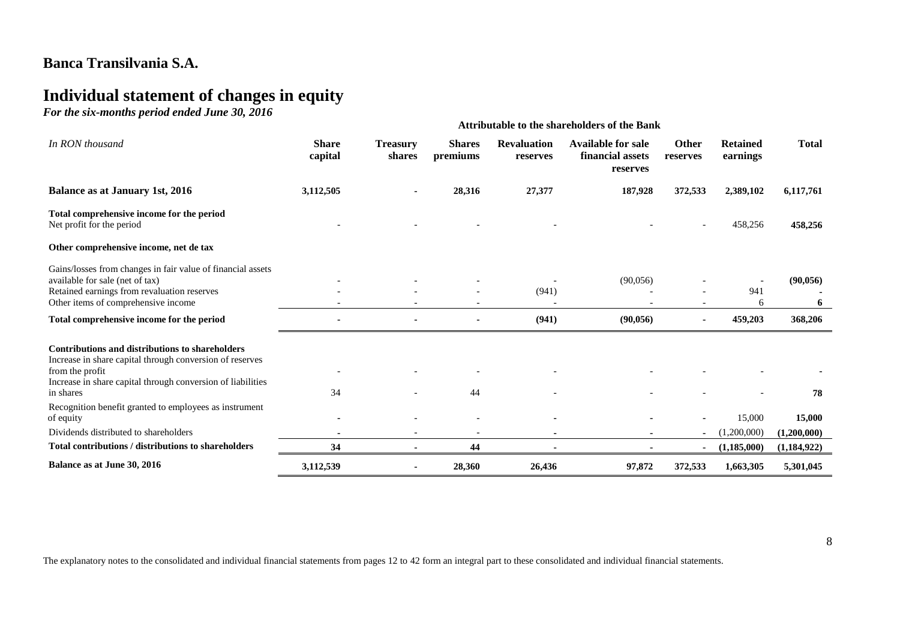# **Individual statement of changes in equity**

*For the six-months period ended June 30, 2016*

|                                                                                                                                                                                                      | <b>Attributable to the shareholders of the Bank</b> |                           |                                |                                |                                                           |                   |                              |                              |
|------------------------------------------------------------------------------------------------------------------------------------------------------------------------------------------------------|-----------------------------------------------------|---------------------------|--------------------------------|--------------------------------|-----------------------------------------------------------|-------------------|------------------------------|------------------------------|
| In RON thousand                                                                                                                                                                                      | <b>Share</b><br>capital                             | <b>Treasury</b><br>shares | <b>Shares</b><br>premiums      | <b>Revaluation</b><br>reserves | <b>Available for sale</b><br>financial assets<br>reserves | Other<br>reserves | <b>Retained</b><br>earnings  | <b>Total</b>                 |
| <b>Balance as at January 1st, 2016</b>                                                                                                                                                               | 3,112,505                                           |                           | 28,316                         | 27,377                         | 187,928                                                   | 372,533           | 2,389,102                    | 6,117,761                    |
| Total comprehensive income for the period<br>Net profit for the period                                                                                                                               |                                                     |                           |                                |                                |                                                           |                   | 458,256                      | 458,256                      |
| Other comprehensive income, net de tax                                                                                                                                                               |                                                     |                           |                                |                                |                                                           |                   |                              |                              |
| Gains/losses from changes in fair value of financial assets<br>available for sale (net of tax)<br>Retained earnings from revaluation reserves<br>Other items of comprehensive income                 |                                                     |                           |                                | (941)                          | (90,056)                                                  |                   | 941<br>6                     | (90, 056)<br>6               |
| Total comprehensive income for the period                                                                                                                                                            |                                                     |                           |                                | (941)                          | (90,056)                                                  | $\sim$            | 459,203                      | 368,206                      |
| <b>Contributions and distributions to shareholders</b><br>Increase in share capital through conversion of reserves<br>from the profit<br>Increase in share capital through conversion of liabilities |                                                     |                           |                                |                                |                                                           |                   |                              |                              |
| in shares                                                                                                                                                                                            | 34                                                  |                           | 44                             |                                |                                                           |                   |                              | 78                           |
| Recognition benefit granted to employees as instrument<br>of equity                                                                                                                                  |                                                     |                           |                                |                                |                                                           |                   | 15,000                       | 15,000                       |
| Dividends distributed to shareholders<br>Total contributions / distributions to shareholders                                                                                                         | 34                                                  |                           | $\overline{\phantom{a}}$<br>44 |                                |                                                           |                   | (1,200,000)<br>(1, 185, 000) | (1,200,000)<br>(1, 184, 922) |
| Balance as at June 30, 2016                                                                                                                                                                          | 3,112,539                                           |                           | 28,360                         | 26,436                         | 97,872                                                    | 372,533           | 1,663,305                    | 5,301,045                    |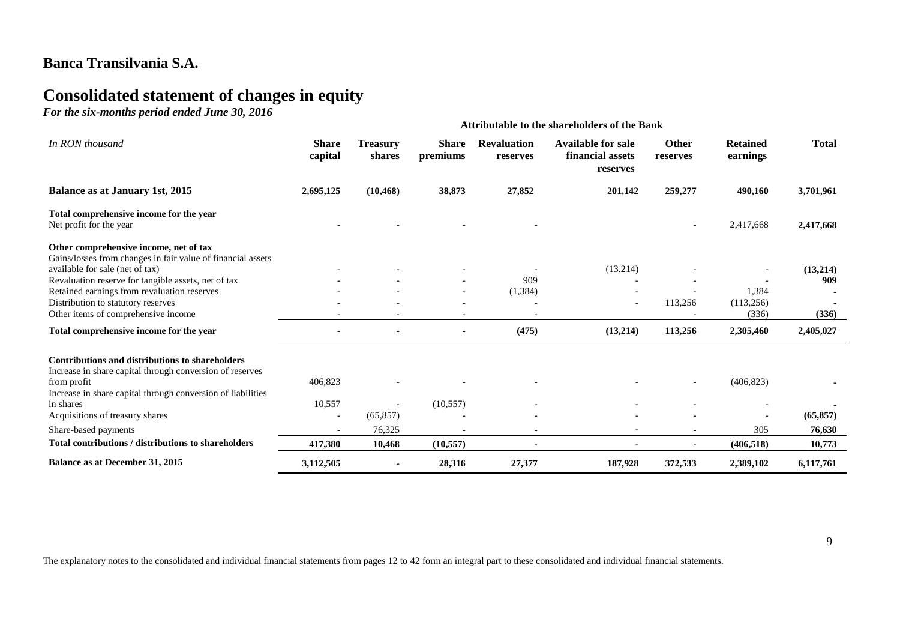# **Consolidated statement of changes in equity**

*For the six-months period ended June 30, 2016*

|                                                                                                                                          | <b>Attributable to the shareholders of the Bank</b> |                           |                          |                                |                                                           |                          |                             |              |
|------------------------------------------------------------------------------------------------------------------------------------------|-----------------------------------------------------|---------------------------|--------------------------|--------------------------------|-----------------------------------------------------------|--------------------------|-----------------------------|--------------|
| In RON thousand                                                                                                                          | <b>Share</b><br>capital                             | <b>Treasury</b><br>shares | <b>Share</b><br>premiums | <b>Revaluation</b><br>reserves | <b>Available for sale</b><br>financial assets<br>reserves | <b>Other</b><br>reserves | <b>Retained</b><br>earnings | <b>Total</b> |
| <b>Balance as at January 1st, 2015</b>                                                                                                   | 2,695,125                                           | (10, 468)                 | 38,873                   | 27,852                         | 201,142                                                   | 259,277                  | 490,160                     | 3,701,961    |
| Total comprehensive income for the year<br>Net profit for the year                                                                       |                                                     |                           |                          |                                |                                                           |                          | 2,417,668                   | 2,417,668    |
| Other comprehensive income, net of tax<br>Gains/losses from changes in fair value of financial assets<br>available for sale (net of tax) |                                                     |                           |                          |                                | (13,214)                                                  |                          |                             | (13,214)     |
| Revaluation reserve for tangible assets, net of tax                                                                                      |                                                     |                           |                          | 909                            |                                                           |                          |                             | 909          |
| Retained earnings from revaluation reserves                                                                                              |                                                     |                           |                          | (1, 384)                       |                                                           |                          | 1,384                       |              |
| Distribution to statutory reserves                                                                                                       |                                                     |                           |                          |                                | $\overline{\phantom{a}}$                                  | 113,256                  | (113, 256)                  |              |
| Other items of comprehensive income                                                                                                      |                                                     |                           |                          |                                |                                                           |                          | (336)                       | (336)        |
| Total comprehensive income for the year                                                                                                  |                                                     |                           |                          | (475)                          | (13,214)                                                  | 113,256                  | 2,305,460                   | 2,405,027    |
| Contributions and distributions to shareholders<br>Increase in share capital through conversion of reserves<br>from profit               | 406,823                                             |                           |                          |                                |                                                           |                          | (406, 823)                  |              |
| Increase in share capital through conversion of liabilities                                                                              |                                                     |                           |                          |                                |                                                           |                          |                             |              |
| in shares                                                                                                                                | 10,557                                              |                           | (10, 557)                |                                |                                                           |                          |                             |              |
| Acquisitions of treasury shares                                                                                                          | $\overline{\phantom{a}}$                            | (65, 857)                 |                          |                                |                                                           |                          |                             | (65, 857)    |
| Share-based payments                                                                                                                     | $\blacksquare$                                      | 76,325                    |                          |                                |                                                           |                          | 305                         | 76,630       |
| Total contributions / distributions to shareholders                                                                                      | 417,380                                             | 10,468                    | (10, 557)                | $\blacksquare$                 |                                                           | $\blacksquare$           | (406, 518)                  | 10,773       |
| Balance as at December 31, 2015                                                                                                          | 3,112,505                                           |                           | 28,316                   | 27,377                         | 187,928                                                   | 372,533                  | 2,389,102                   | 6,117,761    |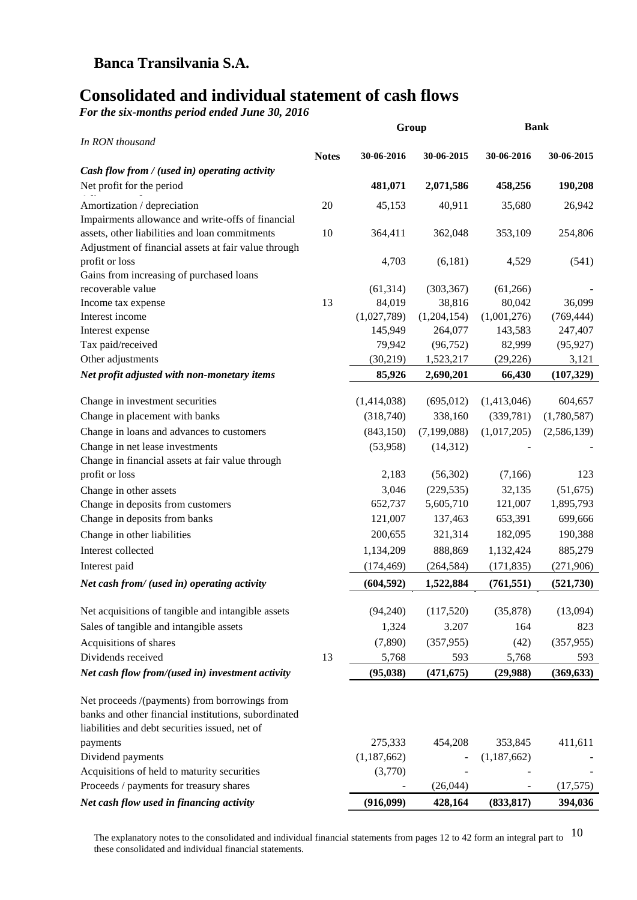# **Consolidated and individual statement of cash flows**

*For the six-months period ended June 30, 2016*

| <b>Notes</b><br>30-06-2016<br>30-06-2015<br>30-06-2016<br>30-06-2015<br>Cash flow from / (used in) operating activity<br>Net profit for the period<br>481,071<br>2,071,586<br>458,256<br>190,208<br>20<br>Amortization / depreciation<br>45,153<br>40,911<br>35,680<br>26,942<br>Impairments allowance and write-offs of financial<br>assets, other liabilities and loan commitments<br>10<br>364,411<br>362,048<br>353,109<br>254,806<br>Adjustment of financial assets at fair value through<br>profit or loss<br>4,703<br>(6,181)<br>4,529<br>(541)<br>Gains from increasing of purchased loans<br>recoverable value<br>(61, 314)<br>(303, 367)<br>(61,266)<br>84,019<br>38,816<br>80,042<br>36,099<br>13<br>Income tax expense<br>Interest income<br>(1,027,789)<br>(1,204,154)<br>(1,001,276)<br>(769, 444)<br>264,077<br>247,407<br>Interest expense<br>145,949<br>143,583<br>Tax paid/received<br>(96, 752)<br>82,999<br>79,942<br>(95, 927)<br>Other adjustments<br>(30, 219)<br>3,121<br>1,523,217<br>(29, 226)<br>85,926<br>66,430<br>Net profit adjusted with non-monetary items<br>2,690,201<br>(107, 329)<br>(1,414,038)<br>(695, 012)<br>(1,413,046)<br>604,657<br>Change in investment securities<br>(318,740)<br>338,160<br>(339,781)<br>(1,780,587)<br>Change in placement with banks<br>(843, 150)<br>(7, 199, 088)<br>(1,017,205)<br>(2,586,139)<br>Change in loans and advances to customers<br>Change in net lease investments<br>(53,958)<br>(14, 312)<br>Change in financial assets at fair value through<br>profit or loss<br>2,183<br>(56,302)<br>123<br>(7,166)<br>Change in other assets<br>3,046<br>(229, 535)<br>32,135<br>(51, 675)<br>Change in deposits from customers<br>652,737<br>5,605,710<br>121,007<br>1,895,793<br>Change in deposits from banks<br>121,007<br>653,391<br>137,463<br>699,666<br>Change in other liabilities<br>200,655<br>321,314<br>182,095<br>190,388<br>Interest collected<br>888,869<br>1,134,209<br>1,132,424<br>885,279<br>(264, 584)<br>Interest paid<br>(174, 469)<br>(171, 835)<br>(271,906)<br>(604, 592)<br>1,522,884<br>Net cash from/ (used in) operating activity<br>(761, 551)<br>(521, 730)<br>(94, 240)<br>(35,878)<br>Net acquisitions of tangible and intangible assets<br>(117,520)<br>(13,094)<br>Sales of tangible and intangible assets<br>3.207<br>1,324<br>164<br>823<br>Acquisitions of shares<br>(7,890)<br>(357, 955)<br>(42)<br>(357, 955)<br>Dividends received<br>13<br>5,768<br>5,768<br>593<br>593<br>(95, 038)<br>(369, 633)<br>(471, 675)<br>(29,988)<br>Net cash flow from/(used in) investment activity<br>Net proceeds /(payments) from borrowings from<br>banks and other financial institutions, subordinated<br>liabilities and debt securities issued, net of<br>275,333<br>454,208<br>353,845<br>411,611<br>payments<br>Dividend payments<br>(1, 187, 662)<br>(1, 187, 662)<br>Acquisitions of held to maturity securities<br>(3,770)<br>Proceeds / payments for treasury shares<br>(26,044)<br>(17, 575)<br>Net cash flow used in financing activity<br>(916,099)<br>428,164<br>(833, 817)<br>394,036 |                 | Group | <b>Bank</b> |  |
|----------------------------------------------------------------------------------------------------------------------------------------------------------------------------------------------------------------------------------------------------------------------------------------------------------------------------------------------------------------------------------------------------------------------------------------------------------------------------------------------------------------------------------------------------------------------------------------------------------------------------------------------------------------------------------------------------------------------------------------------------------------------------------------------------------------------------------------------------------------------------------------------------------------------------------------------------------------------------------------------------------------------------------------------------------------------------------------------------------------------------------------------------------------------------------------------------------------------------------------------------------------------------------------------------------------------------------------------------------------------------------------------------------------------------------------------------------------------------------------------------------------------------------------------------------------------------------------------------------------------------------------------------------------------------------------------------------------------------------------------------------------------------------------------------------------------------------------------------------------------------------------------------------------------------------------------------------------------------------------------------------------------------------------------------------------------------------------------------------------------------------------------------------------------------------------------------------------------------------------------------------------------------------------------------------------------------------------------------------------------------------------------------------------------------------------------------------------------------------------------------------------------------------------------------------------------------------------------------------------------------------------------------------------------------------------------------------------------------------------------------------------------------------------------------------------------------------------------------------------------------------------------------------------------------------------------------------------------------------------------------------------------------------------------------------------------------------------------------------|-----------------|-------|-------------|--|
|                                                                                                                                                                                                                                                                                                                                                                                                                                                                                                                                                                                                                                                                                                                                                                                                                                                                                                                                                                                                                                                                                                                                                                                                                                                                                                                                                                                                                                                                                                                                                                                                                                                                                                                                                                                                                                                                                                                                                                                                                                                                                                                                                                                                                                                                                                                                                                                                                                                                                                                                                                                                                                                                                                                                                                                                                                                                                                                                                                                                                                                                                                          | In RON thousand |       |             |  |
|                                                                                                                                                                                                                                                                                                                                                                                                                                                                                                                                                                                                                                                                                                                                                                                                                                                                                                                                                                                                                                                                                                                                                                                                                                                                                                                                                                                                                                                                                                                                                                                                                                                                                                                                                                                                                                                                                                                                                                                                                                                                                                                                                                                                                                                                                                                                                                                                                                                                                                                                                                                                                                                                                                                                                                                                                                                                                                                                                                                                                                                                                                          |                 |       |             |  |
|                                                                                                                                                                                                                                                                                                                                                                                                                                                                                                                                                                                                                                                                                                                                                                                                                                                                                                                                                                                                                                                                                                                                                                                                                                                                                                                                                                                                                                                                                                                                                                                                                                                                                                                                                                                                                                                                                                                                                                                                                                                                                                                                                                                                                                                                                                                                                                                                                                                                                                                                                                                                                                                                                                                                                                                                                                                                                                                                                                                                                                                                                                          |                 |       |             |  |
|                                                                                                                                                                                                                                                                                                                                                                                                                                                                                                                                                                                                                                                                                                                                                                                                                                                                                                                                                                                                                                                                                                                                                                                                                                                                                                                                                                                                                                                                                                                                                                                                                                                                                                                                                                                                                                                                                                                                                                                                                                                                                                                                                                                                                                                                                                                                                                                                                                                                                                                                                                                                                                                                                                                                                                                                                                                                                                                                                                                                                                                                                                          |                 |       |             |  |
|                                                                                                                                                                                                                                                                                                                                                                                                                                                                                                                                                                                                                                                                                                                                                                                                                                                                                                                                                                                                                                                                                                                                                                                                                                                                                                                                                                                                                                                                                                                                                                                                                                                                                                                                                                                                                                                                                                                                                                                                                                                                                                                                                                                                                                                                                                                                                                                                                                                                                                                                                                                                                                                                                                                                                                                                                                                                                                                                                                                                                                                                                                          |                 |       |             |  |
|                                                                                                                                                                                                                                                                                                                                                                                                                                                                                                                                                                                                                                                                                                                                                                                                                                                                                                                                                                                                                                                                                                                                                                                                                                                                                                                                                                                                                                                                                                                                                                                                                                                                                                                                                                                                                                                                                                                                                                                                                                                                                                                                                                                                                                                                                                                                                                                                                                                                                                                                                                                                                                                                                                                                                                                                                                                                                                                                                                                                                                                                                                          |                 |       |             |  |
|                                                                                                                                                                                                                                                                                                                                                                                                                                                                                                                                                                                                                                                                                                                                                                                                                                                                                                                                                                                                                                                                                                                                                                                                                                                                                                                                                                                                                                                                                                                                                                                                                                                                                                                                                                                                                                                                                                                                                                                                                                                                                                                                                                                                                                                                                                                                                                                                                                                                                                                                                                                                                                                                                                                                                                                                                                                                                                                                                                                                                                                                                                          |                 |       |             |  |
|                                                                                                                                                                                                                                                                                                                                                                                                                                                                                                                                                                                                                                                                                                                                                                                                                                                                                                                                                                                                                                                                                                                                                                                                                                                                                                                                                                                                                                                                                                                                                                                                                                                                                                                                                                                                                                                                                                                                                                                                                                                                                                                                                                                                                                                                                                                                                                                                                                                                                                                                                                                                                                                                                                                                                                                                                                                                                                                                                                                                                                                                                                          |                 |       |             |  |
|                                                                                                                                                                                                                                                                                                                                                                                                                                                                                                                                                                                                                                                                                                                                                                                                                                                                                                                                                                                                                                                                                                                                                                                                                                                                                                                                                                                                                                                                                                                                                                                                                                                                                                                                                                                                                                                                                                                                                                                                                                                                                                                                                                                                                                                                                                                                                                                                                                                                                                                                                                                                                                                                                                                                                                                                                                                                                                                                                                                                                                                                                                          |                 |       |             |  |
|                                                                                                                                                                                                                                                                                                                                                                                                                                                                                                                                                                                                                                                                                                                                                                                                                                                                                                                                                                                                                                                                                                                                                                                                                                                                                                                                                                                                                                                                                                                                                                                                                                                                                                                                                                                                                                                                                                                                                                                                                                                                                                                                                                                                                                                                                                                                                                                                                                                                                                                                                                                                                                                                                                                                                                                                                                                                                                                                                                                                                                                                                                          |                 |       |             |  |
|                                                                                                                                                                                                                                                                                                                                                                                                                                                                                                                                                                                                                                                                                                                                                                                                                                                                                                                                                                                                                                                                                                                                                                                                                                                                                                                                                                                                                                                                                                                                                                                                                                                                                                                                                                                                                                                                                                                                                                                                                                                                                                                                                                                                                                                                                                                                                                                                                                                                                                                                                                                                                                                                                                                                                                                                                                                                                                                                                                                                                                                                                                          |                 |       |             |  |
|                                                                                                                                                                                                                                                                                                                                                                                                                                                                                                                                                                                                                                                                                                                                                                                                                                                                                                                                                                                                                                                                                                                                                                                                                                                                                                                                                                                                                                                                                                                                                                                                                                                                                                                                                                                                                                                                                                                                                                                                                                                                                                                                                                                                                                                                                                                                                                                                                                                                                                                                                                                                                                                                                                                                                                                                                                                                                                                                                                                                                                                                                                          |                 |       |             |  |
|                                                                                                                                                                                                                                                                                                                                                                                                                                                                                                                                                                                                                                                                                                                                                                                                                                                                                                                                                                                                                                                                                                                                                                                                                                                                                                                                                                                                                                                                                                                                                                                                                                                                                                                                                                                                                                                                                                                                                                                                                                                                                                                                                                                                                                                                                                                                                                                                                                                                                                                                                                                                                                                                                                                                                                                                                                                                                                                                                                                                                                                                                                          |                 |       |             |  |
|                                                                                                                                                                                                                                                                                                                                                                                                                                                                                                                                                                                                                                                                                                                                                                                                                                                                                                                                                                                                                                                                                                                                                                                                                                                                                                                                                                                                                                                                                                                                                                                                                                                                                                                                                                                                                                                                                                                                                                                                                                                                                                                                                                                                                                                                                                                                                                                                                                                                                                                                                                                                                                                                                                                                                                                                                                                                                                                                                                                                                                                                                                          |                 |       |             |  |
|                                                                                                                                                                                                                                                                                                                                                                                                                                                                                                                                                                                                                                                                                                                                                                                                                                                                                                                                                                                                                                                                                                                                                                                                                                                                                                                                                                                                                                                                                                                                                                                                                                                                                                                                                                                                                                                                                                                                                                                                                                                                                                                                                                                                                                                                                                                                                                                                                                                                                                                                                                                                                                                                                                                                                                                                                                                                                                                                                                                                                                                                                                          |                 |       |             |  |
|                                                                                                                                                                                                                                                                                                                                                                                                                                                                                                                                                                                                                                                                                                                                                                                                                                                                                                                                                                                                                                                                                                                                                                                                                                                                                                                                                                                                                                                                                                                                                                                                                                                                                                                                                                                                                                                                                                                                                                                                                                                                                                                                                                                                                                                                                                                                                                                                                                                                                                                                                                                                                                                                                                                                                                                                                                                                                                                                                                                                                                                                                                          |                 |       |             |  |
|                                                                                                                                                                                                                                                                                                                                                                                                                                                                                                                                                                                                                                                                                                                                                                                                                                                                                                                                                                                                                                                                                                                                                                                                                                                                                                                                                                                                                                                                                                                                                                                                                                                                                                                                                                                                                                                                                                                                                                                                                                                                                                                                                                                                                                                                                                                                                                                                                                                                                                                                                                                                                                                                                                                                                                                                                                                                                                                                                                                                                                                                                                          |                 |       |             |  |
|                                                                                                                                                                                                                                                                                                                                                                                                                                                                                                                                                                                                                                                                                                                                                                                                                                                                                                                                                                                                                                                                                                                                                                                                                                                                                                                                                                                                                                                                                                                                                                                                                                                                                                                                                                                                                                                                                                                                                                                                                                                                                                                                                                                                                                                                                                                                                                                                                                                                                                                                                                                                                                                                                                                                                                                                                                                                                                                                                                                                                                                                                                          |                 |       |             |  |
|                                                                                                                                                                                                                                                                                                                                                                                                                                                                                                                                                                                                                                                                                                                                                                                                                                                                                                                                                                                                                                                                                                                                                                                                                                                                                                                                                                                                                                                                                                                                                                                                                                                                                                                                                                                                                                                                                                                                                                                                                                                                                                                                                                                                                                                                                                                                                                                                                                                                                                                                                                                                                                                                                                                                                                                                                                                                                                                                                                                                                                                                                                          |                 |       |             |  |
|                                                                                                                                                                                                                                                                                                                                                                                                                                                                                                                                                                                                                                                                                                                                                                                                                                                                                                                                                                                                                                                                                                                                                                                                                                                                                                                                                                                                                                                                                                                                                                                                                                                                                                                                                                                                                                                                                                                                                                                                                                                                                                                                                                                                                                                                                                                                                                                                                                                                                                                                                                                                                                                                                                                                                                                                                                                                                                                                                                                                                                                                                                          |                 |       |             |  |
|                                                                                                                                                                                                                                                                                                                                                                                                                                                                                                                                                                                                                                                                                                                                                                                                                                                                                                                                                                                                                                                                                                                                                                                                                                                                                                                                                                                                                                                                                                                                                                                                                                                                                                                                                                                                                                                                                                                                                                                                                                                                                                                                                                                                                                                                                                                                                                                                                                                                                                                                                                                                                                                                                                                                                                                                                                                                                                                                                                                                                                                                                                          |                 |       |             |  |
|                                                                                                                                                                                                                                                                                                                                                                                                                                                                                                                                                                                                                                                                                                                                                                                                                                                                                                                                                                                                                                                                                                                                                                                                                                                                                                                                                                                                                                                                                                                                                                                                                                                                                                                                                                                                                                                                                                                                                                                                                                                                                                                                                                                                                                                                                                                                                                                                                                                                                                                                                                                                                                                                                                                                                                                                                                                                                                                                                                                                                                                                                                          |                 |       |             |  |
|                                                                                                                                                                                                                                                                                                                                                                                                                                                                                                                                                                                                                                                                                                                                                                                                                                                                                                                                                                                                                                                                                                                                                                                                                                                                                                                                                                                                                                                                                                                                                                                                                                                                                                                                                                                                                                                                                                                                                                                                                                                                                                                                                                                                                                                                                                                                                                                                                                                                                                                                                                                                                                                                                                                                                                                                                                                                                                                                                                                                                                                                                                          |                 |       |             |  |
|                                                                                                                                                                                                                                                                                                                                                                                                                                                                                                                                                                                                                                                                                                                                                                                                                                                                                                                                                                                                                                                                                                                                                                                                                                                                                                                                                                                                                                                                                                                                                                                                                                                                                                                                                                                                                                                                                                                                                                                                                                                                                                                                                                                                                                                                                                                                                                                                                                                                                                                                                                                                                                                                                                                                                                                                                                                                                                                                                                                                                                                                                                          |                 |       |             |  |
|                                                                                                                                                                                                                                                                                                                                                                                                                                                                                                                                                                                                                                                                                                                                                                                                                                                                                                                                                                                                                                                                                                                                                                                                                                                                                                                                                                                                                                                                                                                                                                                                                                                                                                                                                                                                                                                                                                                                                                                                                                                                                                                                                                                                                                                                                                                                                                                                                                                                                                                                                                                                                                                                                                                                                                                                                                                                                                                                                                                                                                                                                                          |                 |       |             |  |
|                                                                                                                                                                                                                                                                                                                                                                                                                                                                                                                                                                                                                                                                                                                                                                                                                                                                                                                                                                                                                                                                                                                                                                                                                                                                                                                                                                                                                                                                                                                                                                                                                                                                                                                                                                                                                                                                                                                                                                                                                                                                                                                                                                                                                                                                                                                                                                                                                                                                                                                                                                                                                                                                                                                                                                                                                                                                                                                                                                                                                                                                                                          |                 |       |             |  |
|                                                                                                                                                                                                                                                                                                                                                                                                                                                                                                                                                                                                                                                                                                                                                                                                                                                                                                                                                                                                                                                                                                                                                                                                                                                                                                                                                                                                                                                                                                                                                                                                                                                                                                                                                                                                                                                                                                                                                                                                                                                                                                                                                                                                                                                                                                                                                                                                                                                                                                                                                                                                                                                                                                                                                                                                                                                                                                                                                                                                                                                                                                          |                 |       |             |  |
|                                                                                                                                                                                                                                                                                                                                                                                                                                                                                                                                                                                                                                                                                                                                                                                                                                                                                                                                                                                                                                                                                                                                                                                                                                                                                                                                                                                                                                                                                                                                                                                                                                                                                                                                                                                                                                                                                                                                                                                                                                                                                                                                                                                                                                                                                                                                                                                                                                                                                                                                                                                                                                                                                                                                                                                                                                                                                                                                                                                                                                                                                                          |                 |       |             |  |
|                                                                                                                                                                                                                                                                                                                                                                                                                                                                                                                                                                                                                                                                                                                                                                                                                                                                                                                                                                                                                                                                                                                                                                                                                                                                                                                                                                                                                                                                                                                                                                                                                                                                                                                                                                                                                                                                                                                                                                                                                                                                                                                                                                                                                                                                                                                                                                                                                                                                                                                                                                                                                                                                                                                                                                                                                                                                                                                                                                                                                                                                                                          |                 |       |             |  |
|                                                                                                                                                                                                                                                                                                                                                                                                                                                                                                                                                                                                                                                                                                                                                                                                                                                                                                                                                                                                                                                                                                                                                                                                                                                                                                                                                                                                                                                                                                                                                                                                                                                                                                                                                                                                                                                                                                                                                                                                                                                                                                                                                                                                                                                                                                                                                                                                                                                                                                                                                                                                                                                                                                                                                                                                                                                                                                                                                                                                                                                                                                          |                 |       |             |  |
|                                                                                                                                                                                                                                                                                                                                                                                                                                                                                                                                                                                                                                                                                                                                                                                                                                                                                                                                                                                                                                                                                                                                                                                                                                                                                                                                                                                                                                                                                                                                                                                                                                                                                                                                                                                                                                                                                                                                                                                                                                                                                                                                                                                                                                                                                                                                                                                                                                                                                                                                                                                                                                                                                                                                                                                                                                                                                                                                                                                                                                                                                                          |                 |       |             |  |
|                                                                                                                                                                                                                                                                                                                                                                                                                                                                                                                                                                                                                                                                                                                                                                                                                                                                                                                                                                                                                                                                                                                                                                                                                                                                                                                                                                                                                                                                                                                                                                                                                                                                                                                                                                                                                                                                                                                                                                                                                                                                                                                                                                                                                                                                                                                                                                                                                                                                                                                                                                                                                                                                                                                                                                                                                                                                                                                                                                                                                                                                                                          |                 |       |             |  |
|                                                                                                                                                                                                                                                                                                                                                                                                                                                                                                                                                                                                                                                                                                                                                                                                                                                                                                                                                                                                                                                                                                                                                                                                                                                                                                                                                                                                                                                                                                                                                                                                                                                                                                                                                                                                                                                                                                                                                                                                                                                                                                                                                                                                                                                                                                                                                                                                                                                                                                                                                                                                                                                                                                                                                                                                                                                                                                                                                                                                                                                                                                          |                 |       |             |  |
|                                                                                                                                                                                                                                                                                                                                                                                                                                                                                                                                                                                                                                                                                                                                                                                                                                                                                                                                                                                                                                                                                                                                                                                                                                                                                                                                                                                                                                                                                                                                                                                                                                                                                                                                                                                                                                                                                                                                                                                                                                                                                                                                                                                                                                                                                                                                                                                                                                                                                                                                                                                                                                                                                                                                                                                                                                                                                                                                                                                                                                                                                                          |                 |       |             |  |
|                                                                                                                                                                                                                                                                                                                                                                                                                                                                                                                                                                                                                                                                                                                                                                                                                                                                                                                                                                                                                                                                                                                                                                                                                                                                                                                                                                                                                                                                                                                                                                                                                                                                                                                                                                                                                                                                                                                                                                                                                                                                                                                                                                                                                                                                                                                                                                                                                                                                                                                                                                                                                                                                                                                                                                                                                                                                                                                                                                                                                                                                                                          |                 |       |             |  |
|                                                                                                                                                                                                                                                                                                                                                                                                                                                                                                                                                                                                                                                                                                                                                                                                                                                                                                                                                                                                                                                                                                                                                                                                                                                                                                                                                                                                                                                                                                                                                                                                                                                                                                                                                                                                                                                                                                                                                                                                                                                                                                                                                                                                                                                                                                                                                                                                                                                                                                                                                                                                                                                                                                                                                                                                                                                                                                                                                                                                                                                                                                          |                 |       |             |  |
|                                                                                                                                                                                                                                                                                                                                                                                                                                                                                                                                                                                                                                                                                                                                                                                                                                                                                                                                                                                                                                                                                                                                                                                                                                                                                                                                                                                                                                                                                                                                                                                                                                                                                                                                                                                                                                                                                                                                                                                                                                                                                                                                                                                                                                                                                                                                                                                                                                                                                                                                                                                                                                                                                                                                                                                                                                                                                                                                                                                                                                                                                                          |                 |       |             |  |
|                                                                                                                                                                                                                                                                                                                                                                                                                                                                                                                                                                                                                                                                                                                                                                                                                                                                                                                                                                                                                                                                                                                                                                                                                                                                                                                                                                                                                                                                                                                                                                                                                                                                                                                                                                                                                                                                                                                                                                                                                                                                                                                                                                                                                                                                                                                                                                                                                                                                                                                                                                                                                                                                                                                                                                                                                                                                                                                                                                                                                                                                                                          |                 |       |             |  |
|                                                                                                                                                                                                                                                                                                                                                                                                                                                                                                                                                                                                                                                                                                                                                                                                                                                                                                                                                                                                                                                                                                                                                                                                                                                                                                                                                                                                                                                                                                                                                                                                                                                                                                                                                                                                                                                                                                                                                                                                                                                                                                                                                                                                                                                                                                                                                                                                                                                                                                                                                                                                                                                                                                                                                                                                                                                                                                                                                                                                                                                                                                          |                 |       |             |  |
|                                                                                                                                                                                                                                                                                                                                                                                                                                                                                                                                                                                                                                                                                                                                                                                                                                                                                                                                                                                                                                                                                                                                                                                                                                                                                                                                                                                                                                                                                                                                                                                                                                                                                                                                                                                                                                                                                                                                                                                                                                                                                                                                                                                                                                                                                                                                                                                                                                                                                                                                                                                                                                                                                                                                                                                                                                                                                                                                                                                                                                                                                                          |                 |       |             |  |
|                                                                                                                                                                                                                                                                                                                                                                                                                                                                                                                                                                                                                                                                                                                                                                                                                                                                                                                                                                                                                                                                                                                                                                                                                                                                                                                                                                                                                                                                                                                                                                                                                                                                                                                                                                                                                                                                                                                                                                                                                                                                                                                                                                                                                                                                                                                                                                                                                                                                                                                                                                                                                                                                                                                                                                                                                                                                                                                                                                                                                                                                                                          |                 |       |             |  |
|                                                                                                                                                                                                                                                                                                                                                                                                                                                                                                                                                                                                                                                                                                                                                                                                                                                                                                                                                                                                                                                                                                                                                                                                                                                                                                                                                                                                                                                                                                                                                                                                                                                                                                                                                                                                                                                                                                                                                                                                                                                                                                                                                                                                                                                                                                                                                                                                                                                                                                                                                                                                                                                                                                                                                                                                                                                                                                                                                                                                                                                                                                          |                 |       |             |  |
|                                                                                                                                                                                                                                                                                                                                                                                                                                                                                                                                                                                                                                                                                                                                                                                                                                                                                                                                                                                                                                                                                                                                                                                                                                                                                                                                                                                                                                                                                                                                                                                                                                                                                                                                                                                                                                                                                                                                                                                                                                                                                                                                                                                                                                                                                                                                                                                                                                                                                                                                                                                                                                                                                                                                                                                                                                                                                                                                                                                                                                                                                                          |                 |       |             |  |
|                                                                                                                                                                                                                                                                                                                                                                                                                                                                                                                                                                                                                                                                                                                                                                                                                                                                                                                                                                                                                                                                                                                                                                                                                                                                                                                                                                                                                                                                                                                                                                                                                                                                                                                                                                                                                                                                                                                                                                                                                                                                                                                                                                                                                                                                                                                                                                                                                                                                                                                                                                                                                                                                                                                                                                                                                                                                                                                                                                                                                                                                                                          |                 |       |             |  |
|                                                                                                                                                                                                                                                                                                                                                                                                                                                                                                                                                                                                                                                                                                                                                                                                                                                                                                                                                                                                                                                                                                                                                                                                                                                                                                                                                                                                                                                                                                                                                                                                                                                                                                                                                                                                                                                                                                                                                                                                                                                                                                                                                                                                                                                                                                                                                                                                                                                                                                                                                                                                                                                                                                                                                                                                                                                                                                                                                                                                                                                                                                          |                 |       |             |  |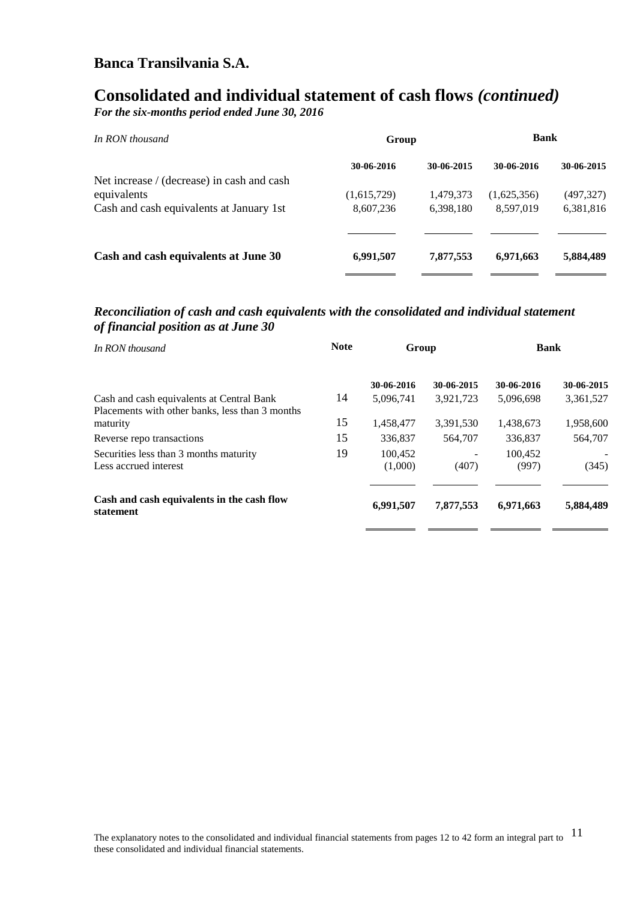# **Consolidated and individual statement of cash flows** *(continued)*

*For the six-months period ended June 30, 2016*

| In RON thousand                            | Group       |            | <b>Bank</b> |            |  |
|--------------------------------------------|-------------|------------|-------------|------------|--|
|                                            | 30-06-2016  | 30-06-2015 | 30-06-2016  | 30-06-2015 |  |
| Net increase / (decrease) in cash and cash |             |            |             |            |  |
| equivalents                                | (1,615,729) | 1,479,373  | (1,625,356) | (497, 327) |  |
| Cash and cash equivalents at January 1st   | 8,607,236   | 6,398,180  | 8,597,019   | 6,381,816  |  |
|                                            |             |            |             |            |  |
| Cash and cash equivalents at June 30       | 6,991,507   | 7,877,553  | 6,971,663   | 5,884,489  |  |
|                                            |             |            |             |            |  |

#### *Reconciliation of cash and cash equivalents with the consolidated and individual statement of financial position as at June 30*

| <b>Note</b> |                    |            |                  |             |
|-------------|--------------------|------------|------------------|-------------|
|             | 30-06-2016         | 30-06-2015 | 30-06-2016       | 30-06-2015  |
| 14          | 5,096,741          | 3,921,723  | 5,096,698        | 3,361,527   |
| 15          | 1,458,477          | 3,391,530  | 1,438,673        | 1,958,600   |
| 15          | 336,837            | 564,707    | 336,837          | 564,707     |
| 19          | 100.452<br>(1,000) | (407)      | 100.452<br>(997) | (345)       |
|             | 6,991,507          | 7,877,553  | 6,971,663        | 5,884,489   |
|             |                    |            | Group            | <b>Bank</b> |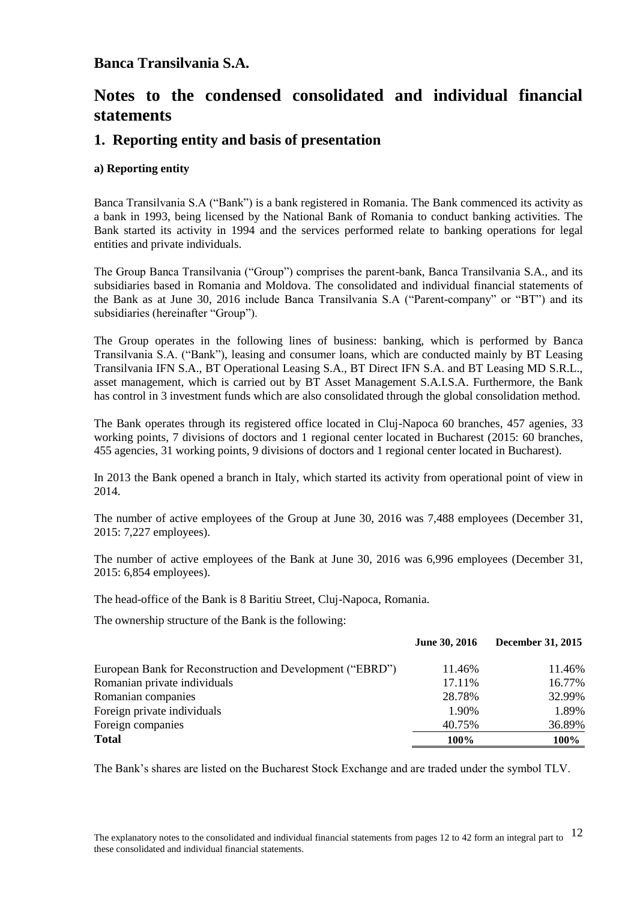# **Notes to the condensed consolidated and individual financial statements**

### **1. Reporting entity and basis of presentation**

#### **a) Reporting entity**

Banca Transilvania S.A ("Bank") is a bank registered in Romania. The Bank commenced its activity as a bank in 1993, being licensed by the National Bank of Romania to conduct banking activities. The Bank started its activity in 1994 and the services performed relate to banking operations for legal entities and private individuals.

The Group Banca Transilvania ("Group") comprises the parent-bank, Banca Transilvania S.A., and its subsidiaries based in Romania and Moldova. The consolidated and individual financial statements of the Bank as at June 30, 2016 include Banca Transilvania S.A ("Parent-company" or "BT") and its subsidiaries (hereinafter "Group").

The Group operates in the following lines of business: banking, which is performed by Banca Transilvania S.A. ("Bank"), leasing and consumer loans, which are conducted mainly by BT Leasing Transilvania IFN S.A., BT Operational Leasing S.A., BT Direct IFN S.A. and BT Leasing MD S.R.L., asset management, which is carried out by BT Asset Management S.A.I.S.A. Furthermore, the Bank has control in 3 investment funds which are also consolidated through the global consolidation method.

The Bank operates through its registered office located in Cluj-Napoca 60 branches, 457 agenies, 33 working points, 7 divisions of doctors and 1 regional center located in Bucharest (2015: 60 branches, 455 agencies, 31 working points, 9 divisions of doctors and 1 regional center located in Bucharest).

In 2013 the Bank opened a branch in Italy, which started its activity from operational point of view in 2014.

The number of active employees of the Group at June 30, 2016 was 7,488 employees (December 31, 2015: 7,227 employees).

The number of active employees of the Bank at June 30, 2016 was 6,996 employees (December 31, 2015: 6,854 employees).

The head-office of the Bank is 8 Baritiu Street, Cluj-Napoca, Romania.

The ownership structure of the Bank is the following:

|                                                           | June 30, 2016 | <b>December 31, 2015</b> |
|-----------------------------------------------------------|---------------|--------------------------|
| European Bank for Reconstruction and Development ("EBRD") | 11.46%        | 11.46%                   |
| Romanian private individuals                              | 17.11%        | 16.77%                   |
| Romanian companies                                        | 28.78%        | 32.99%                   |
| Foreign private individuals                               | 1.90%         | 1.89%                    |
| Foreign companies                                         | 40.75%        | 36.89%                   |
| <b>Total</b>                                              | 100%          | 100%                     |

The Bank's shares are listed on the Bucharest Stock Exchange and are traded under the symbol TLV.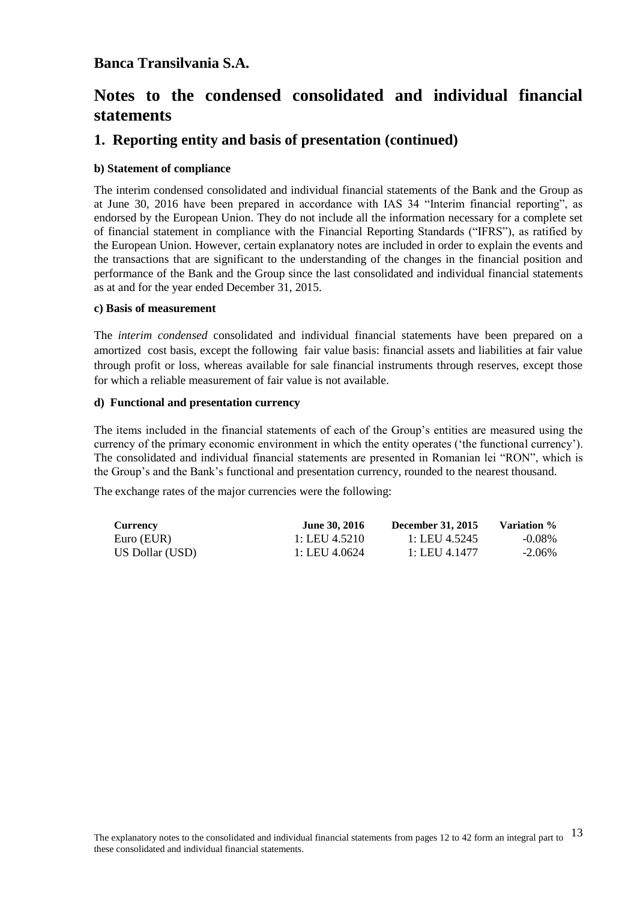# **Notes to the condensed consolidated and individual financial statements**

### **1. Reporting entity and basis of presentation (continued)**

#### **b) Statement of compliance**

The interim condensed consolidated and individual financial statements of the Bank and the Group as at June 30, 2016 have been prepared in accordance with IAS 34 "Interim financial reporting", as endorsed by the European Union. They do not include all the information necessary for a complete set of financial statement in compliance with the Financial Reporting Standards ("IFRS"), as ratified by the European Union. However, certain explanatory notes are included in order to explain the events and the transactions that are significant to the understanding of the changes in the financial position and performance of the Bank and the Group since the last consolidated and individual financial statements as at and for the year ended December 31, 2015.

#### **c) Basis of measurement**

The *interim condensed* consolidated and individual financial statements have been prepared on a amortized cost basis, except the following fair value basis: financial assets and liabilities at fair value through profit or loss, whereas available for sale financial instruments through reserves, except those for which a reliable measurement of fair value is not available.

#### **d) Functional and presentation currency**

The items included in the financial statements of each of the Group's entities are measured using the currency of the primary economic environment in which the entity operates ('the functional currency'). The consolidated and individual financial statements are presented in Romanian lei "RON", which is the Group's and the Bank's functional and presentation currency, rounded to the nearest thousand.

The exchange rates of the major currencies were the following:

| <b>Currency</b> | <b>June 30, 2016</b> | <b>December 31, 2015</b> | Variation % |
|-----------------|----------------------|--------------------------|-------------|
| Euro (EUR)      | 1: LEU 4.5210        | 1: LEU 4.5245            | $-0.08\%$   |
| US Dollar (USD) | 1: LEU 4.0624        | 1: LEU 4.1477            | $-2.06\%$   |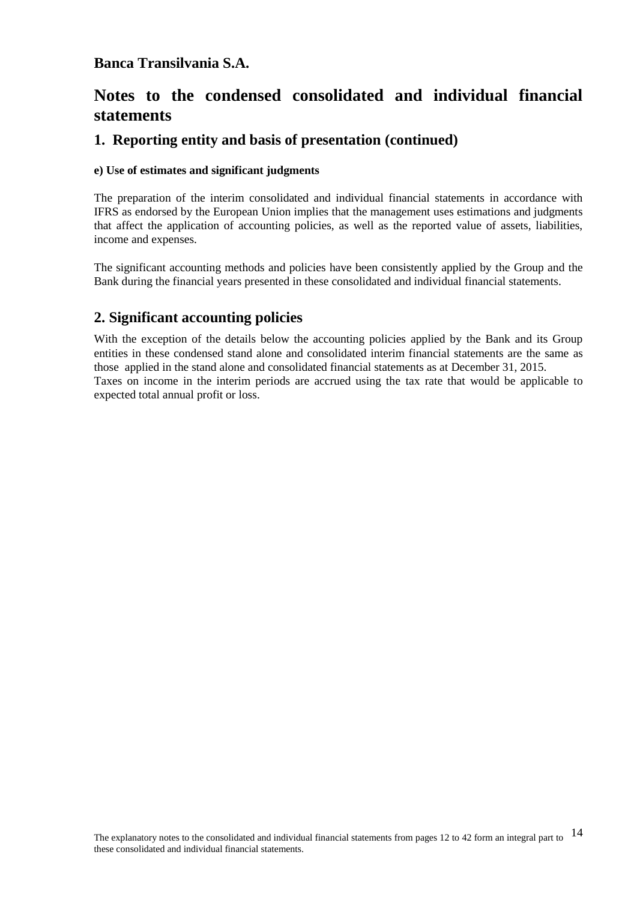# **Notes to the condensed consolidated and individual financial statements**

### **1. Reporting entity and basis of presentation (continued)**

#### **e) Use of estimates and significant judgments**

The preparation of the interim consolidated and individual financial statements in accordance with IFRS as endorsed by the European Union implies that the management uses estimations and judgments that affect the application of accounting policies, as well as the reported value of assets, liabilities, income and expenses.

The significant accounting methods and policies have been consistently applied by the Group and the Bank during the financial years presented in these consolidated and individual financial statements.

## **2. Significant accounting policies**

With the exception of the details below the accounting policies applied by the Bank and its Group entities in these condensed stand alone and consolidated interim financial statements are the same as those applied in the stand alone and consolidated financial statements as at December 31, 2015. Taxes on income in the interim periods are accrued using the tax rate that would be applicable to expected total annual profit or loss.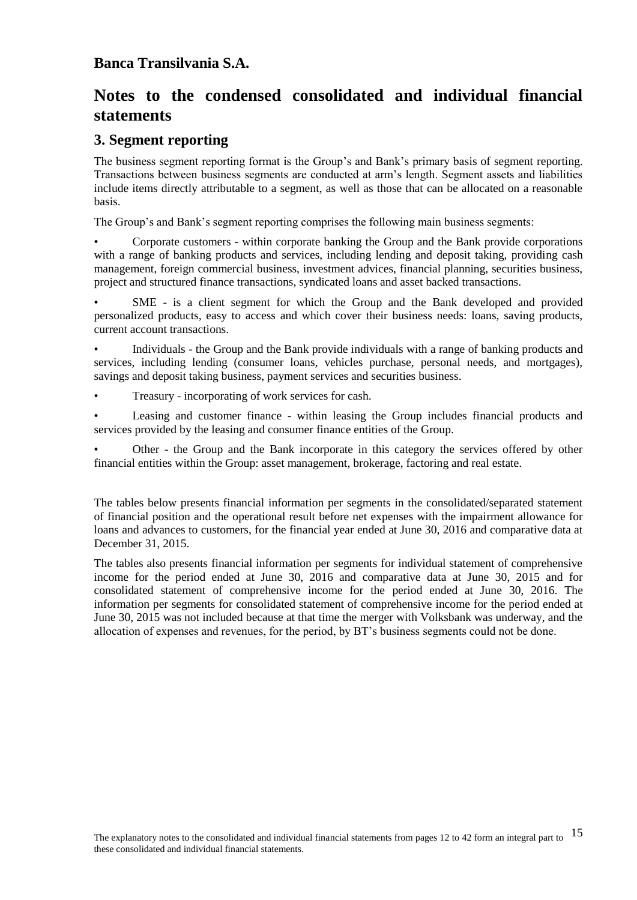# **Notes to the condensed consolidated and individual financial statements**

#### **3. Segment reporting**

The business segment reporting format is the Group's and Bank's primary basis of segment reporting. Transactions between business segments are conducted at arm's length. Segment assets and liabilities include items directly attributable to a segment, as well as those that can be allocated on a reasonable basis.

The Group's and Bank's segment reporting comprises the following main business segments:

• Corporate customers - within corporate banking the Group and the Bank provide corporations with a range of banking products and services, including lending and deposit taking, providing cash management, foreign commercial business, investment advices, financial planning, securities business, project and structured finance transactions, syndicated loans and asset backed transactions.

• SME - is a client segment for which the Group and the Bank developed and provided personalized products, easy to access and which cover their business needs: loans, saving products, current account transactions.

• Individuals - the Group and the Bank provide individuals with a range of banking products and services, including lending (consumer loans, vehicles purchase, personal needs, and mortgages), savings and deposit taking business, payment services and securities business.

• Treasury - incorporating of work services for cash.

• Leasing and customer finance - within leasing the Group includes financial products and services provided by the leasing and consumer finance entities of the Group.

• Other - the Group and the Bank incorporate in this category the services offered by other financial entities within the Group: asset management, brokerage, factoring and real estate.

The tables below presents financial information per segments in the consolidated/separated statement of financial position and the operational result before net expenses with the impairment allowance for loans and advances to customers, for the financial year ended at June 30, 2016 and comparative data at December 31, 2015.

The tables also presents financial information per segments for individual statement of comprehensive income for the period ended at June 30, 2016 and comparative data at June 30, 2015 and for consolidated statement of comprehensive income for the period ended at June 30, 2016. The information per segments for consolidated statement of comprehensive income for the period ended at June 30, 2015 was not included because at that time the merger with Volksbank was underway, and the allocation of expenses and revenues, for the period, by BT's business segments could not be done.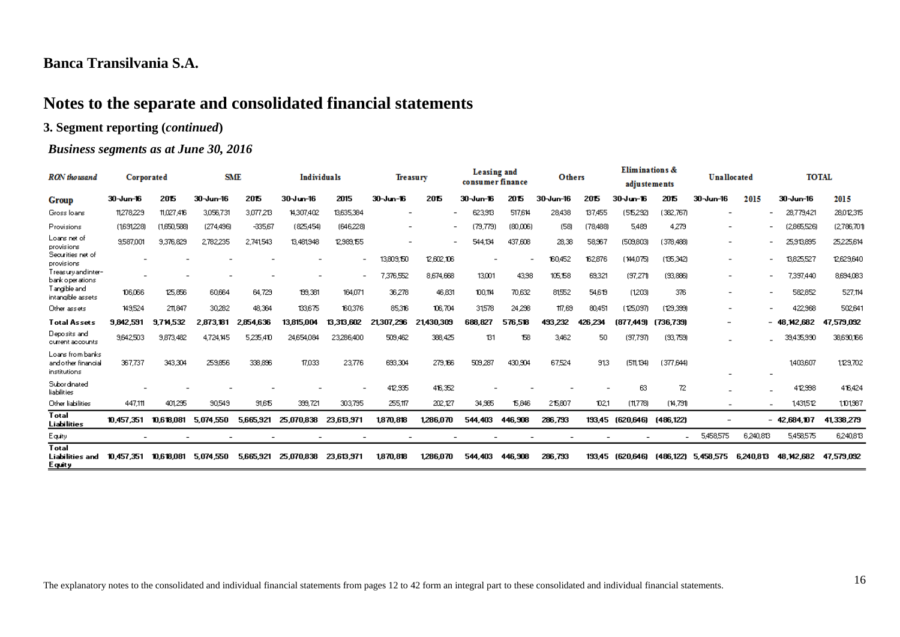# **Notes to the separate and consolidated financial statements**

#### **3. Segment reporting (***continued***)**

#### *Business segments as at June 30, 2016*

| RON thousand                                            | Corporated               |             | <b>SME</b> |           | <b>Individuals</b> |                          | <b>Treasury</b>          |            | Leasing and<br>consumer finance |          | Others    |          | Eliminations &<br>adjustements |           | <b>Unallocated</b>       |           | <b>TOTAL</b>                          |                |
|---------------------------------------------------------|--------------------------|-------------|------------|-----------|--------------------|--------------------------|--------------------------|------------|---------------------------------|----------|-----------|----------|--------------------------------|-----------|--------------------------|-----------|---------------------------------------|----------------|
| Group                                                   | 30-Jun-16                | 2015        | 30-Jun-16  | 2015      | $30 - 16$          | 2015                     | 30-Jun-16                | 2015       | 30-Jun-16                       | 2015     | 30-Jun-16 | 2015     | 30-Jun-16                      | 2015      | 30-Jun-16                | 2015      | 30-Jun-16                             | 2015           |
| Gross Ioans                                             | 11,278,229               | 11.027.416  | 3,056,731  | 3.077.213 | 14,307,402         | 13,635,384               |                          |            | 623.913                         | 517,614  | 28,438    | 137.455  | (56292)                        | 382,767)  | -                        |           | 28,779,421                            | 28,012,315     |
| Provisions                                              | (1691228)                | (1,650,586) | (274,496)  | -335,67   | (825,454)          | (646,228)                | $\overline{\phantom{0}}$ |            | (79,779                         | (80,006) | (58)      | (78,488) | 5,489                          | 4.279     | $\overline{\phantom{a}}$ |           | (2865526)                             | (2,786,701)    |
| Loans net of<br>provisions                              | 9587.001                 | 9.376.829   | 2.782.235  | 2,741,543 | 13,481,948         | 12,989,155               |                          |            | 544.134                         | 437,608  | 28,38     | 58,967   | (509,803)                      | (378,488) | $\overline{\phantom{a}}$ |           | 25,913,895                            | 25225,614      |
| Securities net of<br>provisions                         |                          |             |            |           |                    |                          | 13,809,150               | 12,602,106 |                                 |          | 160,452   | 162,876  | (144.075)                      | (135,342) | $\overline{\phantom{a}}$ |           | 13825.527                             | 12,629,640     |
| Treasury and inter-<br>bank operations.                 | $\overline{\phantom{a}}$ |             |            |           |                    | $\overline{\phantom{a}}$ | 7,376,552                | 8,674,668  | 13,001                          | 43.98    | 105,158   | 69,321   | (97, 27)                       | (33,886)  | $\overline{\phantom{a}}$ |           | 7,397,440<br>$\overline{\phantom{0}}$ | 8,694,083      |
| Tangible and<br>intangible assets                       | 106.066                  | 125,856     | 60.664     | 64.729    | 199.381            | 164,071                  | 36,278                   | 46,831     | 100,114                         | 70.632   | 81552     | 54.619   | (1203)                         | 376       | $\overline{\phantom{a}}$ |           | 582852                                | 527,114        |
| Other assets                                            | 149,524                  | 211.847     | 30,282     | 48.364    | 133,675            | 160,376                  | 85,316                   | 106,704    | 31,578                          | 24.236   | 117,69    | 80,451   | (125,097)                      | (129.339) | $\overline{\phantom{a}}$ |           | 422,968                               | 502.64         |
| <b>Total Assets</b>                                     | 9,842,591                | 9.714.532   | 2.873.181  | 2,854,636 | 13.815.004         | 13.313.602               | .236<br>21.307           | 21,430,309 | 688,827                         | 576,518  | 493 232   | 426.234  | (877,449)                      | (736,739) |                          |           | 48.142.682                            | ,579,092<br>47 |
| Deposits and<br>current accounts                        | 9.642.503                | 9,873,482   | 4.724.145  | 5235.410  | 24,654,084         | 23286,400                | 509,462                  | 368,425    | 131                             | 158      | 3,462     | 50       | (97.797)                       | (33,753)  |                          |           | 39,435,990                            | 38,690,166     |
| Loans from banks<br>and other financial<br>institutions | 367,737                  | 343,304     | 259,856    | 338,896   | 17,033             | 23,776                   | 63304                    | 279,166    | 509.287                         | 430,904  | 67524     | 913      | (51, 134)                      | (377.644) | -                        |           | 1403,607                              | 1129,702       |
| Subordinated<br>liabilities                             |                          |             |            |           |                    |                          | 412,935                  | 416,352    |                                 |          |           |          | 63                             | 72        |                          |           | 412,998                               | 416,424        |
| Other liabilities                                       | 447.111                  | 401.235     | 90,549     | 31,615    | 399,721            | 303,795                  | 255,117                  | 202,127    | 34,965                          | 15,846   | 215,807   | 102,1    | (11778)                        | (14,791)  | $\overline{\phantom{a}}$ |           | 1431.512                              | 1,01387        |
| Total<br>Liabilities                                    | 10.457.351               | 10.618.081  | 5.074.550  | 5,665,921 | 25.070.838         | 23.613.971               | 1,870,818                | 1,286,070  | 544.403                         | 446,908  | 286,793   | 193.45   | (620.646)                      | (486.122) | $\overline{\phantom{0}}$ |           | $-42,684,107$                         | 41,338,279     |
| Equity                                                  |                          |             |            |           |                    |                          |                          |            |                                 |          |           |          |                                |           | 5,458,575                | 6,240,813 | 5,458,575                             | 6,240,813      |
| Total<br>Liabilities and<br><u>Equity</u>               | 10.457.351               | 10.618.081  | 5.074.550  | 5,665,921 | 25,070,838         | 23,613,971               | 1870.818                 | 1,286,070  | 544.403                         | 446,908  | 286,793   | 193.45   | (620.646)                      | (486.122) | 5.458.575                | 6,240.813 | 48.142.682                            | 47,579,092     |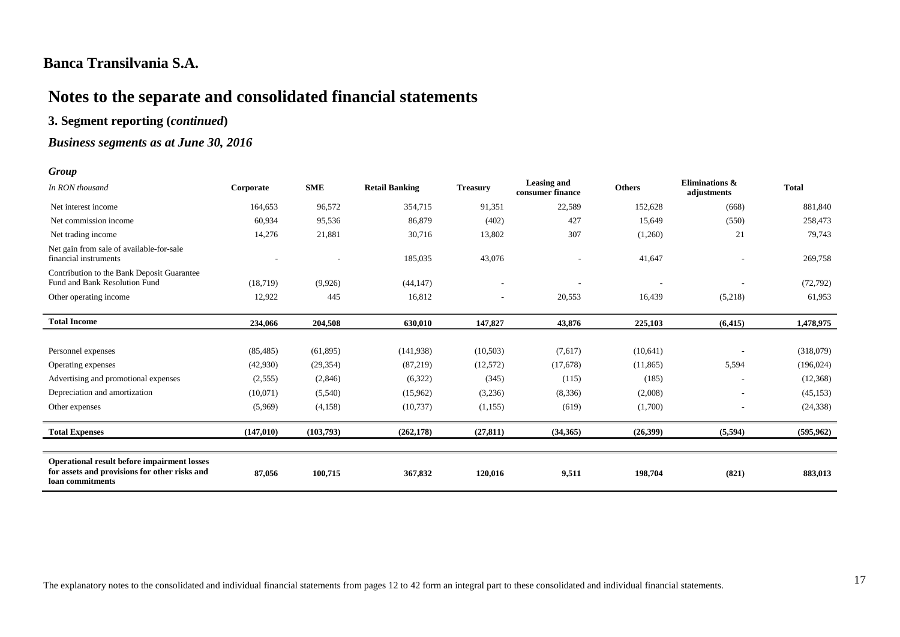# **Notes to the separate and consolidated financial statements**

#### **3. Segment reporting (***continued***)**

#### *Business segments as at June 30, 2016*

#### *Group*

| $UUU\mu$                                                                                                         |            |            |                       |                              |                                        |               |                               |              |
|------------------------------------------------------------------------------------------------------------------|------------|------------|-----------------------|------------------------------|----------------------------------------|---------------|-------------------------------|--------------|
| In RON thousand                                                                                                  | Corporate  | <b>SME</b> | <b>Retail Banking</b> | <b>Treasury</b>              | <b>Leasing and</b><br>consumer finance | <b>Others</b> | Eliminations &<br>adjustments | <b>Total</b> |
| Net interest income                                                                                              | 164,653    | 96,572     | 354,715               | 91,351                       | 22,589                                 | 152,628       | (668)                         | 881,840      |
| Net commission income                                                                                            | 60,934     | 95,536     | 86,879                | (402)                        | 427                                    | 15,649        | (550)                         | 258,473      |
| Net trading income                                                                                               | 14,276     | 21,881     | 30,716                | 13,802                       | 307                                    | (1,260)       | 21                            | 79,743       |
| Net gain from sale of available-for-sale<br>financial instruments                                                |            |            | 185,035               | 43,076                       |                                        | 41,647        |                               | 269,758      |
| Contribution to the Bank Deposit Guarantee<br>Fund and Bank Resolution Fund                                      | (18, 719)  | (9,926)    | (44, 147)             |                              |                                        |               |                               | (72, 792)    |
| Other operating income                                                                                           | 12,922     | 445        | 16,812                | $\qquad \qquad \blacksquare$ | 20,553                                 | 16,439        | (5,218)                       | 61,953       |
| <b>Total Income</b>                                                                                              | 234,066    | 204,508    | 630,010               | 147,827                      | 43,876                                 | 225,103       | (6, 415)                      | 1,478,975    |
|                                                                                                                  |            |            |                       |                              |                                        |               |                               |              |
| Personnel expenses                                                                                               | (85, 485)  | (61, 895)  | (141,938)             | (10,503)                     | (7,617)                                | (10,641)      |                               | (318,079)    |
| Operating expenses                                                                                               | (42,930)   | (29, 354)  | (87,219)              | (12,572)                     | (17,678)                               | (11, 865)     | 5,594                         | (196, 024)   |
| Advertising and promotional expenses                                                                             | (2,555)    | (2,846)    | (6,322)               | (345)                        | (115)                                  | (185)         |                               | (12,368)     |
| Depreciation and amortization                                                                                    | (10,071)   | (5,540)    | (15,962)              | (3,236)                      | (8, 336)                               | (2,008)       |                               | (45, 153)    |
| Other expenses                                                                                                   | (5,969)    | (4,158)    | (10,737)              | (1,155)                      | (619)                                  | (1,700)       |                               | (24, 338)    |
| <b>Total Expenses</b>                                                                                            | (147, 010) | (103,793)  | (262, 178)            | (27, 811)                    | (34,365)                               | (26,399)      | (5,594)                       | (595, 962)   |
|                                                                                                                  |            |            |                       |                              |                                        |               |                               |              |
| Operational result before impairment losses<br>for assets and provisions for other risks and<br>loan commitments | 87,056     | 100,715    | 367,832               | 120,016                      | 9,511                                  | 198,704       | (821)                         | 883,013      |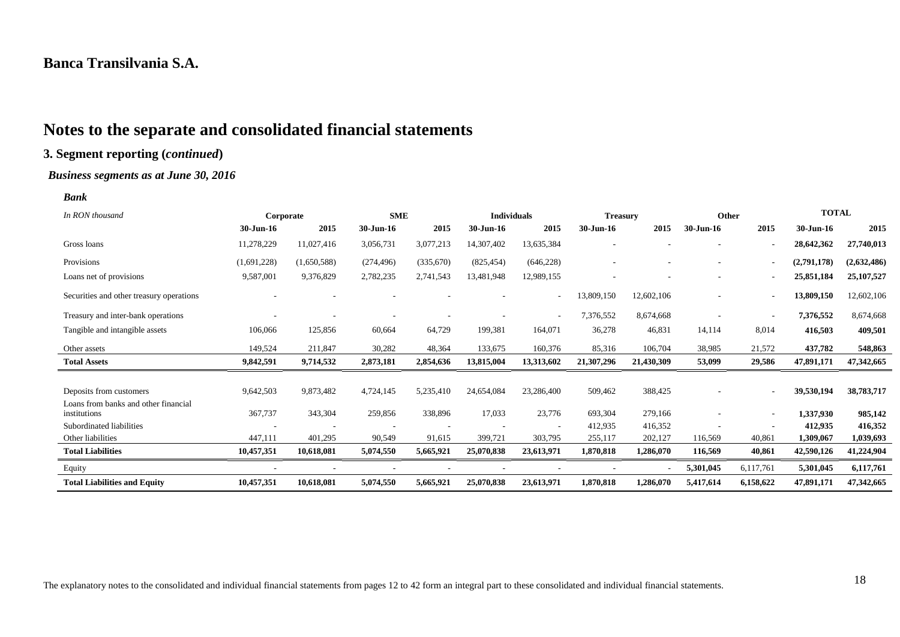# **Notes to the separate and consolidated financial statements**

### **3. Segment reporting (***continued***)**

#### *Business segments as at June 30, 2016*

#### *Bank*

| In RON thousand                                      | Corporate   |             | <b>SME</b> |           | <b>Individuals</b> |            | <b>Treasury</b> |            | Other     |           | <b>TOTAL</b> |             |
|------------------------------------------------------|-------------|-------------|------------|-----------|--------------------|------------|-----------------|------------|-----------|-----------|--------------|-------------|
|                                                      | 30-Jun-16   | 2015        | 30-Jun-16  | 2015      | 30-Jun-16          | 2015       | $30$ -Jun-16    | 2015       | 30-Jun-16 | 2015      | 30-Jun-16    | 2015        |
| Gross loans                                          | 11,278,229  | 11,027,416  | 3,056,731  | 3,077,213 | 14,307,402         | 13,635,384 |                 |            |           |           | 28,642,362   | 27,740,013  |
| Provisions                                           | (1,691,228) | (1,650,588) | (274, 496) | (335,670) | (825, 454)         | (646, 228) |                 |            |           |           | (2,791,178)  | (2,632,486) |
| Loans net of provisions                              | 9,587,001   | 9,376,829   | 2,782,235  | 2,741,543 | 13,481,948         | 12,989,155 |                 |            |           |           | 25,851,184   | 25,107,527  |
| Securities and other treasury operations             |             |             |            |           |                    | ٠          | 13,809,150      | 12,602,106 |           |           | 13,809,150   | 12,602,106  |
| Treasury and inter-bank operations                   |             |             |            |           |                    |            | 7,376,552       | 8,674,668  |           |           | 7,376,552    | 8,674,668   |
| Tangible and intangible assets                       | 106,066     | 125,856     | 60,664     | 64,729    | 199,381            | 164,071    | 36,278          | 46,831     | 14,114    | 8,014     | 416,503      | 409,501     |
| Other assets                                         | 149,524     | 211,847     | 30,282     | 48,364    | 133,675            | 160,376    | 85,316          | 106,704    | 38,985    | 21,572    | 437,782      | 548,863     |
| <b>Total Assets</b>                                  | 9,842,591   | 9,714,532   | 2,873,181  | 2,854,636 | 13,815,004         | 13,313,602 | 21,307,296      | 21,430,309 | 53,099    | 29,586    | 47,891,171   | 47,342,665  |
|                                                      |             |             |            |           |                    |            |                 |            |           |           |              |             |
| Deposits from customers                              | 9,642,503   | 9,873,482   | 4,724,145  | 5,235,410 | 24,654,084         | 23,286,400 | 509,462         | 388,425    |           |           | 39,530,194   | 38,783,717  |
| Loans from banks and other financial<br>institutions | 367,737     | 343,304     | 259,856    | 338,896   | 17,033             | 23,776     | 693,304         | 279,166    |           |           | 1,337,930    | 985,142     |
| Subordinated liabilities                             |             |             |            |           |                    |            | 412,935         | 416,352    |           |           | 412,935      | 416,352     |
| Other liabilities                                    | 447,111     | 401,295     | 90,549     | 91,615    | 399,721            | 303,795    | 255,117         | 202,127    | 116,569   | 40,861    | 1,309,067    | 1,039,693   |
| <b>Total Liabilities</b>                             | 10,457,351  | 10,618,081  | 5,074,550  | 5,665,921 | 25,070,838         | 23,613,971 | 1,870,818       | 1,286,070  | 116,569   | 40,861    | 42,590,126   | 41,224,904  |
| Equity                                               |             |             |            |           |                    |            |                 |            | 5,301,045 | 6,117,761 | 5,301,045    | 6,117,761   |
| <b>Total Liabilities and Equity</b>                  | 10,457,351  | 10,618,081  | 5,074,550  | 5,665,921 | 25,070,838         | 23,613,971 | 1,870,818       | 1,286,070  | 5,417,614 | 6,158,622 | 47,891,171   | 47,342,665  |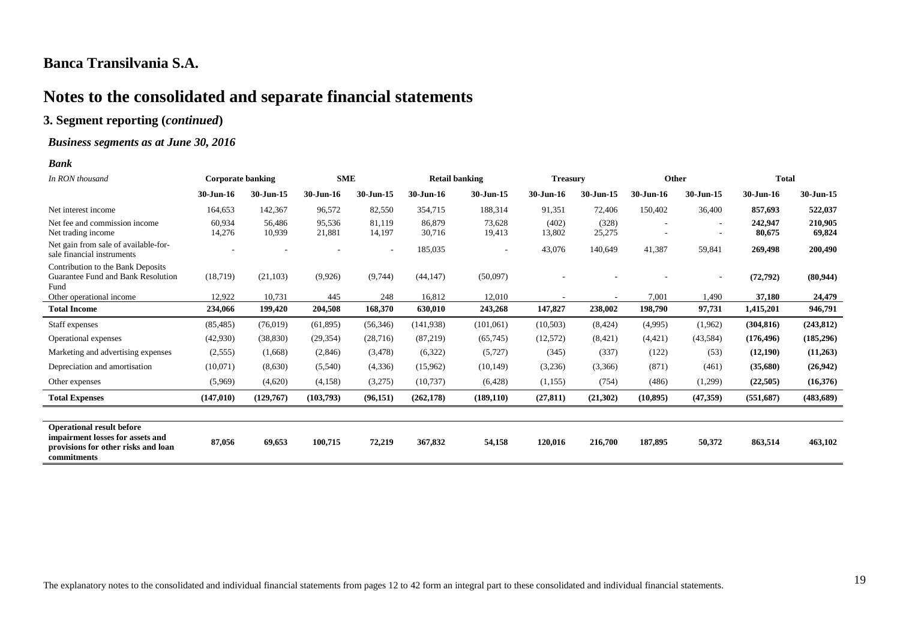# **Notes to the consolidated and separate financial statements**

#### **3. Segment reporting (***continued***)**

#### *Business segments as at June 30, 2016*

#### *Bank*

| In RON thousand                                                                                                            | <b>Corporate banking</b> |                  | <b>SME</b>       |                          | <b>Retail banking</b> |                  | <b>Treasury</b> |                 |           | Other                    | <b>Total</b>      |                   |
|----------------------------------------------------------------------------------------------------------------------------|--------------------------|------------------|------------------|--------------------------|-----------------------|------------------|-----------------|-----------------|-----------|--------------------------|-------------------|-------------------|
|                                                                                                                            | 30-Jun-16                | 30-Jun-15        | 30-Jun-16        | $30$ -Jun-15             | 30-Jun-16             | 30-Jun-15        | 30-Jun-16       | 30-Jun-15       | 30-Jun-16 | 30-Jun-15                | $30$ -Jun-16      | 30-Jun-15         |
| Net interest income                                                                                                        | 164,653                  | 142,367          | 96,572           | 82,550                   | 354,715               | 188,314          | 91,351          | 72,406          | 150,402   | 36,400                   | 857,693           | 522,037           |
| Net fee and commission income<br>Net trading income                                                                        | 60,934<br>14,276         | 56.486<br>10,939 | 95,536<br>21,881 | 81,119<br>14,197         | 86,879<br>30,716      | 73,628<br>19,413 | (402)<br>13,802 | (328)<br>25,275 |           | $\overline{\phantom{a}}$ | 242,947<br>80,675 | 210,905<br>69,824 |
| Net gain from sale of available-for-<br>sale financial instruments                                                         |                          |                  |                  | $\overline{\phantom{a}}$ | 185,035               |                  | 43,076          | 140,649         | 41,387    | 59,841                   | 269,498           | 200,490           |
| Contribution to the Bank Deposits<br>Guarantee Fund and Bank Resolution<br>Fund                                            | (18,719)                 | (21, 103)        | (9,926)          | (9,744)                  | (44, 147)             | (50,097)         |                 |                 |           |                          | (72, 792)         | (80, 944)         |
| Other operational income                                                                                                   | 12,922                   | 10,731           | 445              | 248                      | 16,812                | 12,010           |                 |                 | 7,001     | 1,490                    | 37,180            | 24,479            |
| <b>Total Income</b>                                                                                                        | 234,066                  | 199,420          | 204,508          | 168,370                  | 630,010               | 243,268          | 147,827         | 238,002         | 198,790   | 97,731                   | 1,415,201         | 946,791           |
| Staff expenses                                                                                                             | (85, 485)                | (76,019)         | (61,895)         | (56,346)                 | (141, 938)            | (101,061)        | (10,503)        | (8, 424)        | (4,995)   | (1,962)                  | (304, 816)        | (243, 812)        |
| Operational expenses                                                                                                       | (42,930)                 | (38, 830)        | (29, 354)        | (28, 716)                | (87,219)              | (65,745)         | (12,572)        | (8,421)         | (4,421)   | (43, 584)                | (176, 496)        | (185, 296)        |
| Marketing and advertising expenses                                                                                         | (2,555)                  | (1,668)          | (2,846)          | (3, 478)                 | (6,322)               | (5,727)          | (345)           | (337)           | (122)     | (53)                     | (12,190)          | (11,263)          |
| Depreciation and amortisation                                                                                              | (10,071)                 | (8,630)          | (5,540)          | (4, 336)                 | (15,962)              | (10, 149)        | (3,236)         | (3,366)         | (871)     | (461)                    | (35,680)          | (26,942)          |
| Other expenses                                                                                                             | (5,969)                  | (4,620)          | (4,158)          | (3,275)                  | (10,737)              | (6,428)          | (1, 155)        | (754)           | (486)     | (1,299)                  | (22,505)          | (16,376)          |
| <b>Total Expenses</b>                                                                                                      | (147, 010)               | (129,767)        | (103,793)        | (96, 151)                | (262, 178)            | (189, 110)       | (27, 811)       | (21,302)        | (10, 895) | (47,359)                 | (551,687)         | (483, 689)        |
|                                                                                                                            |                          |                  |                  |                          |                       |                  |                 |                 |           |                          |                   |                   |
| <b>Operational result before</b><br>impairment losses for assets and<br>provisions for other risks and loan<br>commitments | 87,056                   | 69,653           | 100,715          | 72,219                   | 367,832               | 54,158           | 120,016         | 216,700         | 187,895   | 50,372                   | 863,514           | 463,102           |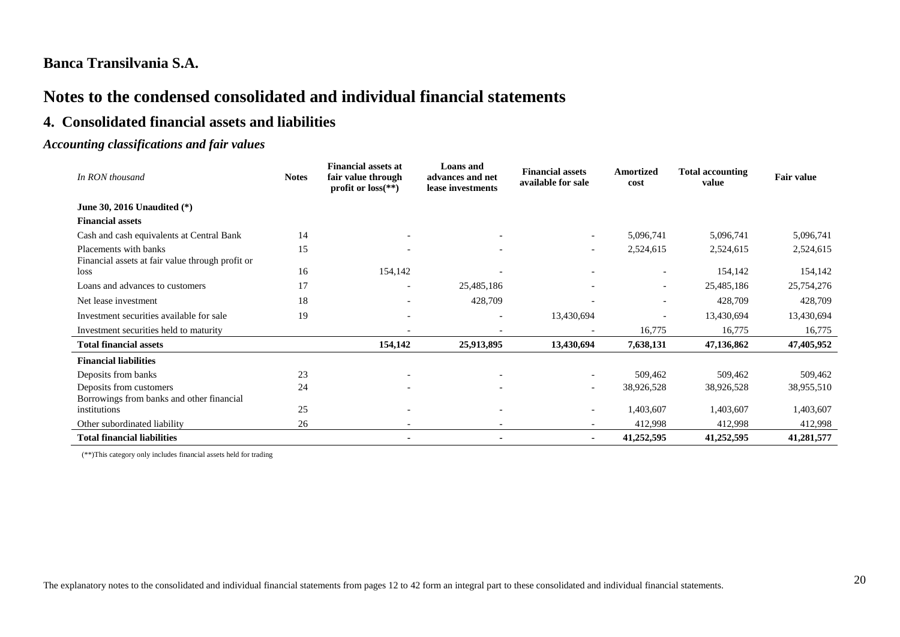# **Notes to the condensed consolidated and individual financial statements**

## **4. Consolidated financial assets and liabilities**

#### *Accounting classifications and fair values*

| In RON thousand                                                           | <b>Notes</b> | <b>Financial assets at</b><br>fair value through<br>profit or $loss$ <sup>**</sup> ) | Loans and<br>advances and net<br>lease investments | <b>Financial assets</b><br>available for sale | <b>Amortized</b><br>cost | <b>Total accounting</b><br>value | <b>Fair value</b> |
|---------------------------------------------------------------------------|--------------|--------------------------------------------------------------------------------------|----------------------------------------------------|-----------------------------------------------|--------------------------|----------------------------------|-------------------|
| June 30, 2016 Unaudited $(*)$                                             |              |                                                                                      |                                                    |                                               |                          |                                  |                   |
| <b>Financial assets</b>                                                   |              |                                                                                      |                                                    |                                               |                          |                                  |                   |
| Cash and cash equivalents at Central Bank                                 | 14           |                                                                                      |                                                    |                                               | 5,096,741                | 5,096,741                        | 5,096,741         |
| Placements with banks<br>Financial assets at fair value through profit or | 15           |                                                                                      |                                                    | $\overline{\phantom{0}}$                      | 2,524,615                | 2,524,615                        | 2,524,615         |
| loss                                                                      | 16           | 154,142                                                                              |                                                    |                                               |                          | 154,142                          | 154,142           |
| Loans and advances to customers                                           | 17           | $\overline{\phantom{a}}$                                                             | 25,485,186                                         |                                               | $\overline{\phantom{a}}$ | 25,485,186                       | 25,754,276        |
| Net lease investment                                                      | 18           |                                                                                      | 428,709                                            |                                               |                          | 428,709                          | 428,709           |
| Investment securities available for sale                                  | 19           | $\overline{\phantom{a}}$                                                             |                                                    | 13,430,694                                    |                          | 13,430,694                       | 13,430,694        |
| Investment securities held to maturity                                    |              |                                                                                      |                                                    |                                               | 16,775                   | 16,775                           | 16,775            |
| <b>Total financial assets</b>                                             |              | 154,142                                                                              | 25,913,895                                         | 13,430,694                                    | 7,638,131                | 47,136,862                       | 47,405,952        |
| <b>Financial liabilities</b>                                              |              |                                                                                      |                                                    |                                               |                          |                                  |                   |
| Deposits from banks                                                       | 23           |                                                                                      |                                                    |                                               | 509,462                  | 509,462                          | 509,462           |
| Deposits from customers<br>Borrowings from banks and other financial      | 24           |                                                                                      |                                                    | $\overline{\phantom{a}}$                      | 38,926,528               | 38,926,528                       | 38,955,510        |
| institutions                                                              | 25           | $\overline{\phantom{0}}$                                                             |                                                    |                                               | 1,403,607                | 1,403,607                        | 1,403,607         |
| Other subordinated liability                                              | 26           |                                                                                      |                                                    |                                               | 412,998                  | 412,998                          | 412,998           |
| <b>Total financial liabilities</b>                                        |              |                                                                                      |                                                    | $\blacksquare$                                | 41,252,595               | 41,252,595                       | 41,281,577        |

(\*\*)This category only includes financial assets held for trading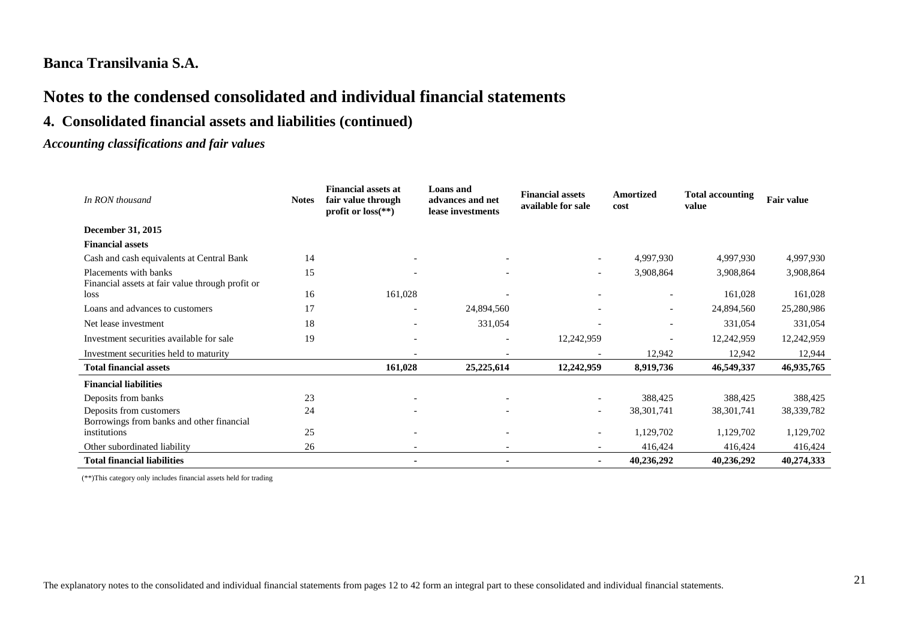# **Notes to the condensed consolidated and individual financial statements**

# **4. Consolidated financial assets and liabilities (continued)**

### *Accounting classifications and fair values*

| In RON thousand                                                           | <b>Notes</b> | <b>Financial assets at</b><br>fair value through<br>profit or $loss$ <sup>**</sup> ) | Loans and<br>advances and net<br>lease investments | <b>Financial assets</b><br>available for sale | <b>Amortized</b><br>cost | <b>Total accounting</b><br>value | <b>Fair value</b> |
|---------------------------------------------------------------------------|--------------|--------------------------------------------------------------------------------------|----------------------------------------------------|-----------------------------------------------|--------------------------|----------------------------------|-------------------|
| December 31, 2015                                                         |              |                                                                                      |                                                    |                                               |                          |                                  |                   |
| <b>Financial assets</b>                                                   |              |                                                                                      |                                                    |                                               |                          |                                  |                   |
| Cash and cash equivalents at Central Bank                                 | 14           |                                                                                      |                                                    | $\overline{\phantom{a}}$                      | 4,997,930                | 4,997,930                        | 4,997,930         |
| Placements with banks<br>Financial assets at fair value through profit or | 15           |                                                                                      |                                                    | $\overline{\phantom{a}}$                      | 3,908,864                | 3,908,864                        | 3,908,864         |
| loss                                                                      | 16           | 161,028                                                                              |                                                    |                                               | $\overline{\phantom{a}}$ | 161,028                          | 161,028           |
| Loans and advances to customers                                           | 17           |                                                                                      | 24,894,560                                         |                                               | $\overline{\phantom{a}}$ | 24,894,560                       | 25,280,986        |
| Net lease investment                                                      | 18           |                                                                                      | 331,054                                            |                                               | $\overline{\phantom{a}}$ | 331,054                          | 331,054           |
| Investment securities available for sale                                  | 19           |                                                                                      |                                                    | 12,242,959                                    | $\overline{\phantom{a}}$ | 12,242,959                       | 12,242,959        |
| Investment securities held to maturity                                    |              |                                                                                      |                                                    |                                               | 12,942                   | 12,942                           | 12,944            |
| <b>Total financial assets</b>                                             |              | 161,028                                                                              | 25, 225, 614                                       | 12,242,959                                    | 8,919,736                | 46,549,337                       | 46,935,765        |
| <b>Financial liabilities</b>                                              |              |                                                                                      |                                                    |                                               |                          |                                  |                   |
| Deposits from banks                                                       | 23           |                                                                                      |                                                    | $\overline{\phantom{a}}$                      | 388,425                  | 388,425                          | 388,425           |
| Deposits from customers<br>Borrowings from banks and other financial      | 24           |                                                                                      |                                                    |                                               | 38, 301, 741             | 38, 301, 741                     | 38, 339, 782      |
| institutions                                                              | 25           |                                                                                      |                                                    | $\overline{\phantom{a}}$                      | 1,129,702                | 1,129,702                        | 1,129,702         |
| Other subordinated liability                                              | 26           |                                                                                      |                                                    |                                               | 416,424                  | 416,424                          | 416,424           |
| <b>Total financial liabilities</b>                                        |              |                                                                                      |                                                    |                                               | 40,236,292               | 40,236,292                       | 40,274,333        |

(\*\*)This category only includes financial assets held for trading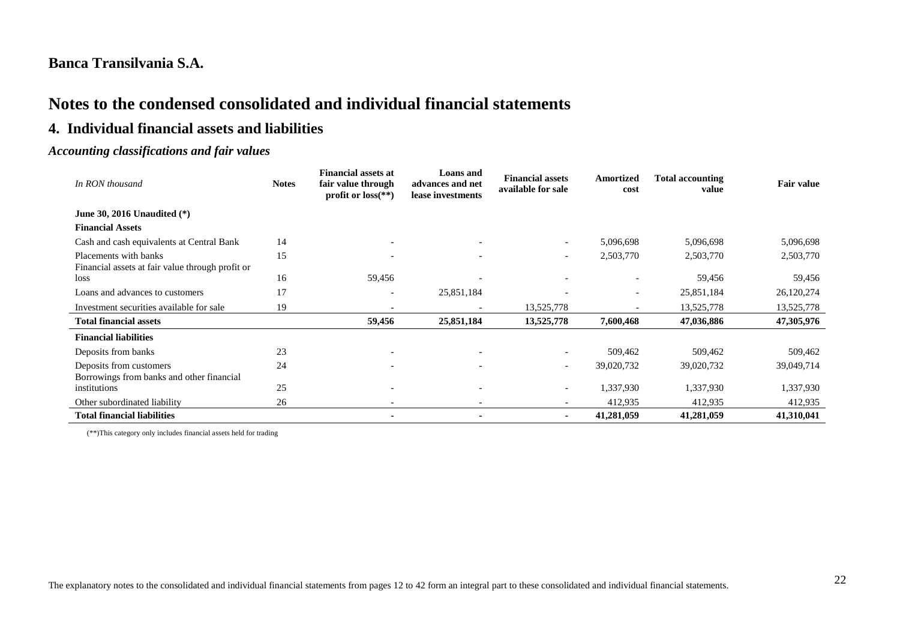# **Notes to the condensed consolidated and individual financial statements**

## **4. Individual financial assets and liabilities**

#### *Accounting classifications and fair values*

| In RON thousand                                                           | <b>Notes</b> | <b>Financial assets at</b><br>fair value through<br>profit or $loss$ <sup>**</sup> ) | Loans and<br>advances and net<br>lease investments | <b>Financial assets</b><br>available for sale | Amortized<br>cost        | <b>Total accounting</b><br>value | <b>Fair value</b> |
|---------------------------------------------------------------------------|--------------|--------------------------------------------------------------------------------------|----------------------------------------------------|-----------------------------------------------|--------------------------|----------------------------------|-------------------|
| June 30, 2016 Unaudited (*)                                               |              |                                                                                      |                                                    |                                               |                          |                                  |                   |
| <b>Financial Assets</b>                                                   |              |                                                                                      |                                                    |                                               |                          |                                  |                   |
| Cash and cash equivalents at Central Bank                                 | 14           |                                                                                      |                                                    | $\overline{\phantom{0}}$                      | 5,096,698                | 5,096,698                        | 5,096,698         |
| Placements with banks<br>Financial assets at fair value through profit or | 15           |                                                                                      |                                                    | $\overline{\phantom{a}}$                      | 2,503,770                | 2,503,770                        | 2,503,770         |
| loss                                                                      | 16           | 59,456                                                                               |                                                    | $\overline{\phantom{a}}$                      |                          | 59,456                           | 59,456            |
| Loans and advances to customers                                           | 17           |                                                                                      | 25,851,184                                         | $\overline{\phantom{a}}$                      | $\overline{\phantom{0}}$ | 25,851,184                       | 26,120,274        |
| Investment securities available for sale                                  | 19           |                                                                                      |                                                    | 13,525,778                                    |                          | 13,525,778                       | 13,525,778        |
| <b>Total financial assets</b>                                             |              | 59,456                                                                               | 25,851,184                                         | 13,525,778                                    | 7,600,468                | 47,036,886                       | 47,305,976        |
| <b>Financial liabilities</b>                                              |              |                                                                                      |                                                    |                                               |                          |                                  |                   |
| Deposits from banks                                                       | 23           |                                                                                      | $\overline{\phantom{0}}$                           | $\overline{\phantom{a}}$                      | 509,462                  | 509,462                          | 509,462           |
| Deposits from customers<br>Borrowings from banks and other financial      | 24           |                                                                                      | $\overline{\phantom{0}}$                           | $\overline{\phantom{a}}$                      | 39,020,732               | 39,020,732                       | 39,049,714        |
| institutions                                                              | 25           |                                                                                      | $\overline{\phantom{0}}$                           | $\overline{\phantom{0}}$                      | 1,337,930                | 1,337,930                        | 1,337,930         |
| Other subordinated liability                                              | 26           |                                                                                      |                                                    |                                               | 412,935                  | 412,935                          | 412,935           |
| <b>Total financial liabilities</b>                                        |              |                                                                                      |                                                    | ۰                                             | 41,281,059               | 41,281,059                       | 41,310,041        |

(\*\*)This category only includes financial assets held for trading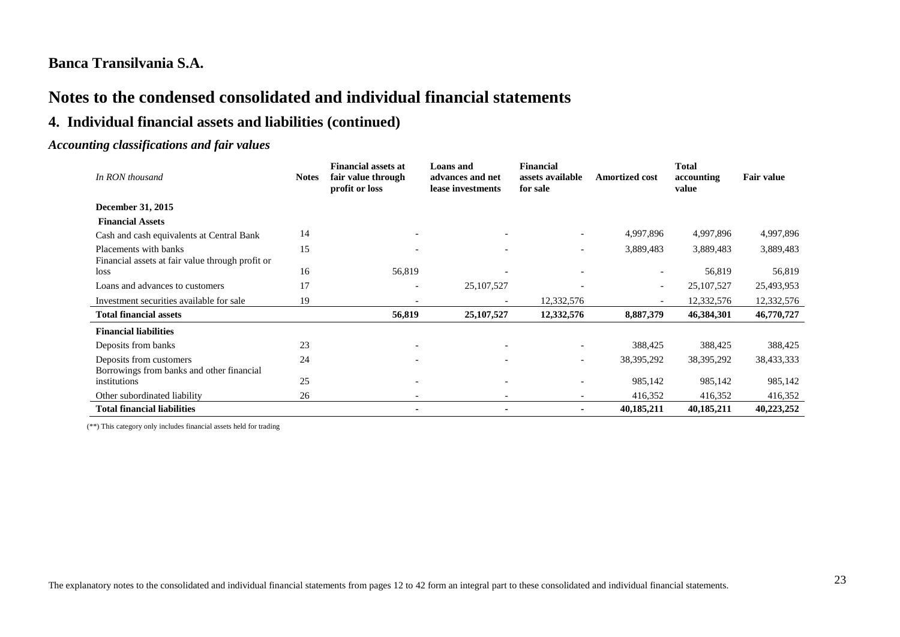# **Notes to the condensed consolidated and individual financial statements**

# **4. Individual financial assets and liabilities (continued)**

#### *Accounting classifications and fair values*

| In RON thousand                                                           | <b>Notes</b> | <b>Financial assets at</b><br>fair value through<br>profit or loss | <b>Loans</b> and<br>advances and net<br>lease investments | <b>Financial</b><br>assets available<br>for sale | <b>Amortized cost</b>    | <b>Total</b><br>accounting<br>value | <b>Fair value</b> |
|---------------------------------------------------------------------------|--------------|--------------------------------------------------------------------|-----------------------------------------------------------|--------------------------------------------------|--------------------------|-------------------------------------|-------------------|
| December 31, 2015                                                         |              |                                                                    |                                                           |                                                  |                          |                                     |                   |
| <b>Financial Assets</b>                                                   |              |                                                                    |                                                           |                                                  |                          |                                     |                   |
| Cash and cash equivalents at Central Bank                                 | 14           |                                                                    |                                                           | $\overline{\phantom{a}}$                         | 4,997,896                | 4,997,896                           | 4,997,896         |
| Placements with banks<br>Financial assets at fair value through profit or | 15           |                                                                    |                                                           | $\overline{\phantom{a}}$                         | 3,889,483                | 3,889,483                           | 3,889,483         |
| loss                                                                      | 16           | 56,819                                                             |                                                           |                                                  |                          | 56,819                              | 56,819            |
| Loans and advances to customers                                           | 17           | $\overline{\phantom{a}}$                                           | 25, 107, 527                                              |                                                  | $\overline{\phantom{a}}$ | 25, 107, 527                        | 25,493,953        |
| Investment securities available for sale                                  | 19           |                                                                    |                                                           | 12,332,576                                       |                          | 12,332,576                          | 12,332,576        |
| <b>Total financial assets</b>                                             |              | 56,819                                                             | 25,107,527                                                | 12,332,576                                       | 8,887,379                | 46,384,301                          | 46,770,727        |
| <b>Financial liabilities</b>                                              |              |                                                                    |                                                           |                                                  |                          |                                     |                   |
| Deposits from banks                                                       | 23           |                                                                    |                                                           |                                                  | 388,425                  | 388,425                             | 388,425           |
| Deposits from customers<br>Borrowings from banks and other financial      | 24           | $\overline{\phantom{0}}$                                           |                                                           | $\overline{\phantom{0}}$                         | 38, 395, 292             | 38, 395, 292                        | 38,433,333        |
| institutions                                                              | 25           | $\overline{\phantom{a}}$                                           |                                                           |                                                  | 985,142                  | 985,142                             | 985,142           |
| Other subordinated liability                                              | 26           |                                                                    |                                                           |                                                  | 416,352                  | 416,352                             | 416,352           |
| <b>Total financial liabilities</b>                                        |              |                                                                    |                                                           |                                                  | 40,185,211               | 40,185,211                          | 40,223,252        |

(\*\*) This category only includes financial assets held for trading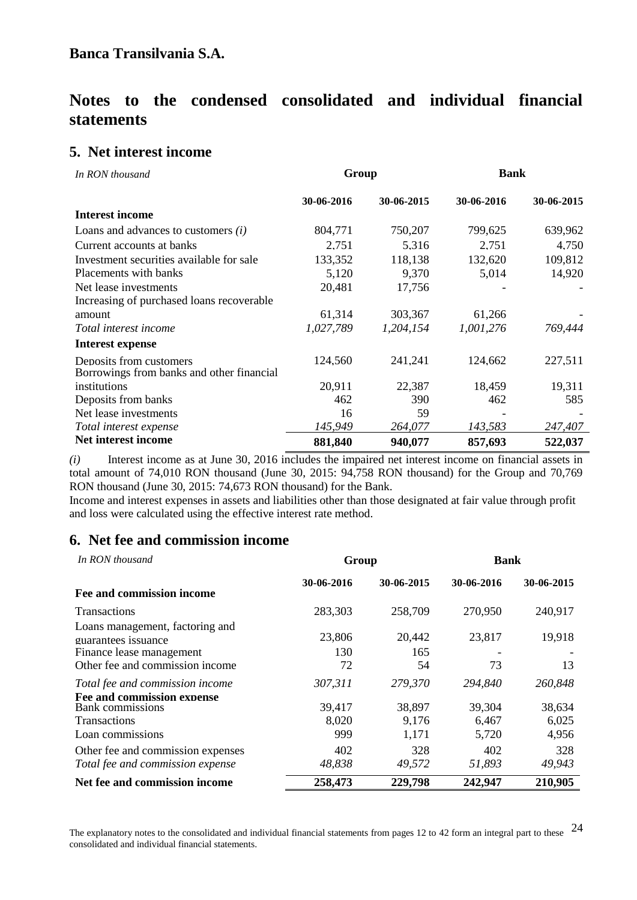# **Notes to the condensed consolidated and individual financial statements**

### **5. Net interest income**

| In RON thousand                                                      | Group      |            | <b>Bank</b> |            |  |  |
|----------------------------------------------------------------------|------------|------------|-------------|------------|--|--|
|                                                                      | 30-06-2016 | 30-06-2015 | 30-06-2016  | 30-06-2015 |  |  |
| <b>Interest income</b>                                               |            |            |             |            |  |  |
| Loans and advances to customers $(i)$                                | 804,771    | 750,207    | 799,625     | 639,962    |  |  |
| Current accounts at banks                                            | 2,751      | 5,316      | 2,751       | 4,750      |  |  |
| Investment securities available for sale                             | 133,352    | 118,138    | 132,620     | 109,812    |  |  |
| Placements with banks                                                | 5,120      | 9,370      | 5,014       | 14,920     |  |  |
| Net lease investments                                                | 20,481     | 17,756     |             |            |  |  |
| Increasing of purchased loans recoverable                            |            |            |             |            |  |  |
| amount                                                               | 61,314     | 303,367    | 61,266      |            |  |  |
| Total interest income                                                | 1,027,789  | 1,204,154  | 1,001,276   | 769,444    |  |  |
| <b>Interest expense</b>                                              |            |            |             |            |  |  |
| Deposits from customers<br>Borrowings from banks and other financial | 124,560    | 241,241    | 124,662     | 227,511    |  |  |
| institutions                                                         | 20,911     | 22,387     | 18,459      | 19,311     |  |  |
| Deposits from banks                                                  | 462        | 390        | 462         | 585        |  |  |
| Net lease investments                                                | 16         | 59         |             |            |  |  |
| Total interest expense                                               | 145,949    | 264,077    | 143,583     | 247,407    |  |  |
| Net interest income                                                  | 881,840    | 940,077    | 857,693     | 522,037    |  |  |

*(i)* Interest income as at June 30, 2016 includes the impaired net interest income on financial assets in total amount of 74,010 RON thousand (June 30, 2015: 94,758 RON thousand) for the Group and 70,769 RON thousand (June 30, 2015: 74,673 RON thousand) for the Bank.

Income and interest expenses in assets and liabilities other than those designated at fair value through profit and loss were calculated using the effective interest rate method.

## **6. Net fee and commission income**

| In RON thousand                                                                                                       | Group                  |                          | <b>Bank</b>              |                          |  |  |
|-----------------------------------------------------------------------------------------------------------------------|------------------------|--------------------------|--------------------------|--------------------------|--|--|
| Fee and commission income                                                                                             | 30-06-2016             | 30-06-2015               | 30-06-2016               | 30-06-2015               |  |  |
| <b>Transactions</b>                                                                                                   | 283,303                | 258,709                  | 270,950                  | 240,917                  |  |  |
| Loans management, factoring and<br>guarantees issuance<br>Finance lease management<br>Other fee and commission income | 23,806<br>130<br>72    | 20,442<br>165<br>54      | 23,817<br>73             | 19,918<br>13             |  |  |
| Total fee and commission income                                                                                       | 307,311                | 279,370                  | 294,840                  | 260,848                  |  |  |
| Fee and commission expense<br><b>Bank</b> commissions<br><b>Transactions</b><br>Loan commissions                      | 39,417<br>8,020<br>999 | 38,897<br>9,176<br>1,171 | 39,304<br>6,467<br>5,720 | 38,634<br>6,025<br>4,956 |  |  |
| Other fee and commission expenses<br>Total fee and commission expense                                                 | 402<br>48,838          | 328<br>49,572            | 402<br>51,893            | 328<br>49,943            |  |  |
| Net fee and commission income                                                                                         | 258,473                | 229,798                  | 242,947                  | 210,905                  |  |  |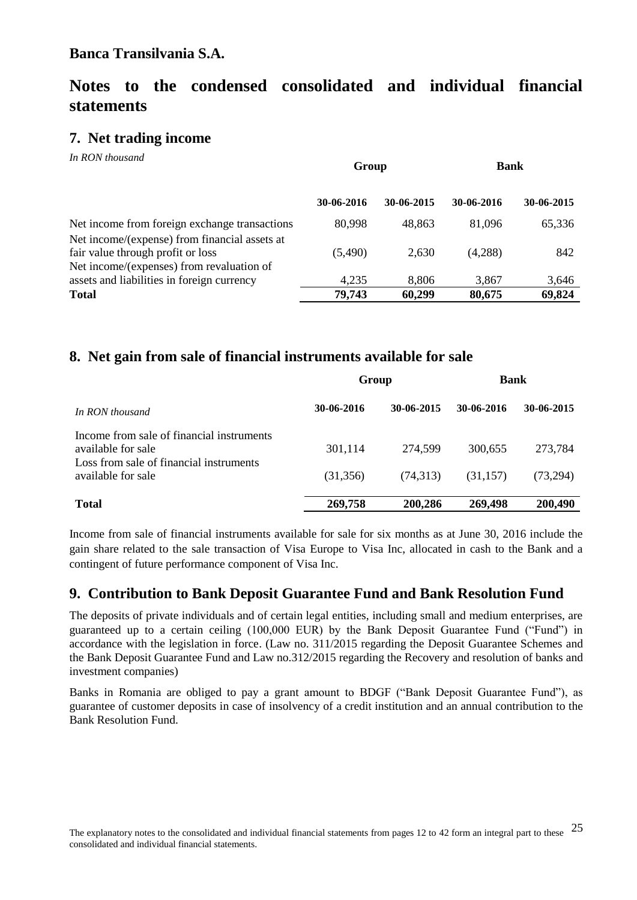# **Notes to the condensed consolidated and individual financial statements**

# **7. Net trading income**

*In RON thousand*

|                                                                                         | Group      |            | <b>Bank</b> |            |
|-----------------------------------------------------------------------------------------|------------|------------|-------------|------------|
|                                                                                         | 30-06-2016 | 30-06-2015 | 30-06-2016  | 30-06-2015 |
| Net income from foreign exchange transactions                                           | 80,998     | 48.863     | 81,096      | 65,336     |
| Net income/(expense) from financial assets at<br>fair value through profit or loss      | (5,490)    | 2,630      | (4,288)     | 842        |
| Net income/(expenses) from revaluation of<br>assets and liabilities in foreign currency | 4,235      | 8,806      | 3,867       | 3,646      |
| <b>Total</b>                                                                            | 79,743     | 60,299     | 80,675      | 69,824     |

## **8. Net gain from sale of financial instruments available for sale**

|                                                                                                            | Group      |            | <b>Bank</b> |            |
|------------------------------------------------------------------------------------------------------------|------------|------------|-------------|------------|
| In RON thousand                                                                                            | 30-06-2016 | 30-06-2015 | 30-06-2016  | 30-06-2015 |
| Income from sale of financial instruments<br>available for sale<br>Loss from sale of financial instruments | 301,114    | 274,599    | 300.655     | 273,784    |
| available for sale                                                                                         | (31,356)   | (74,313)   | (31, 157)   | (73,294)   |
| <b>Total</b>                                                                                               | 269,758    | 200,286    | 269,498     | 200,490    |

Income from sale of financial instruments available for sale for six months as at June 30, 2016 include the gain share related to the sale transaction of Visa Europe to Visa Inc, allocated in cash to the Bank and a contingent of future performance component of Visa Inc.

## **9. Contribution to Bank Deposit Guarantee Fund and Bank Resolution Fund**

The deposits of private individuals and of certain legal entities, including small and medium enterprises, are guaranteed up to a certain ceiling (100,000 EUR) by the Bank Deposit Guarantee Fund ("Fund") in accordance with the legislation in force. (Law no. 311/2015 regarding the Deposit Guarantee Schemes and the Bank Deposit Guarantee Fund and Law no.312/2015 regarding the Recovery and resolution of banks and investment companies)

Banks in Romania are obliged to pay a grant amount to BDGF ("Bank Deposit Guarantee Fund"), as guarantee of customer deposits in case of insolvency of a credit institution and an annual contribution to the Bank Resolution Fund.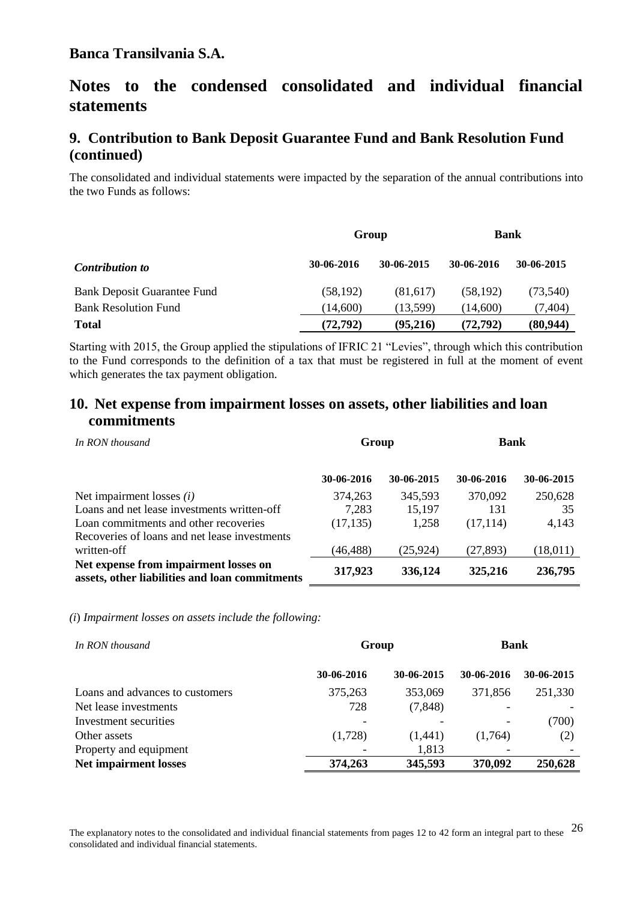# **Notes to the condensed consolidated and individual financial statements**

# **9. Contribution to Bank Deposit Guarantee Fund and Bank Resolution Fund (continued)**

The consolidated and individual statements were impacted by the separation of the annual contributions into the two Funds as follows:

|                                    | Group      |            | <b>Bank</b> |            |
|------------------------------------|------------|------------|-------------|------------|
| <b>Contribution to</b>             | 30-06-2016 | 30-06-2015 | 30-06-2016  | 30-06-2015 |
| <b>Bank Deposit Guarantee Fund</b> | (58, 192)  | (81,617)   | (58, 192)   | (73, 540)  |
| <b>Bank Resolution Fund</b>        | (14,600)   | (13.599)   | (14,600)    | (7,404)    |
| <b>Total</b>                       | (72, 792)  | (95,216)   | (72, 792)   | (80, 944)  |

Starting with 2015, the Group applied the stipulations of IFRIC 21 "Levies", through which this contribution to the Fund corresponds to the definition of a tax that must be registered in full at the moment of event which generates the tax payment obligation.

### **10. Net expense from impairment losses on assets, other liabilities and loan commitments**

| In RON thousand                                                                         | Group      |            | <b>Bank</b> |            |
|-----------------------------------------------------------------------------------------|------------|------------|-------------|------------|
|                                                                                         | 30-06-2016 | 30-06-2015 | 30-06-2016  | 30-06-2015 |
| Net impairment losses $(i)$                                                             | 374,263    | 345,593    | 370,092     | 250,628    |
| Loans and net lease investments written-off                                             | 7,283      | 15,197     | 131         | 35         |
| Loan commitments and other recoveries                                                   | (17, 135)  | 1,258      | (17, 114)   | 4,143      |
| Recoveries of loans and net lease investments                                           |            |            |             |            |
| written-off                                                                             | (46, 488)  | (25, 924)  | (27, 893)   | (18,011)   |
| Net expense from impairment losses on<br>assets, other liabilities and loan commitments | 317,923    | 336,124    | 325,216     | 236,795    |

*(i*) *Impairment losses on assets include the following:*

| In RON thousand                 | Group      |            | <b>Bank</b> |            |
|---------------------------------|------------|------------|-------------|------------|
|                                 | 30-06-2016 | 30-06-2015 | 30-06-2016  | 30-06-2015 |
| Loans and advances to customers | 375,263    | 353,069    | 371,856     | 251,330    |
| Net lease investments           | 728        | (7, 848)   |             |            |
| Investment securities           |            |            |             | (700)      |
| Other assets                    | (1,728)    | (1,441)    | (1,764)     | (2)        |
| Property and equipment          |            | 1,813      |             |            |
| <b>Net impairment losses</b>    | 374,263    | 345,593    | 370,092     | 250,628    |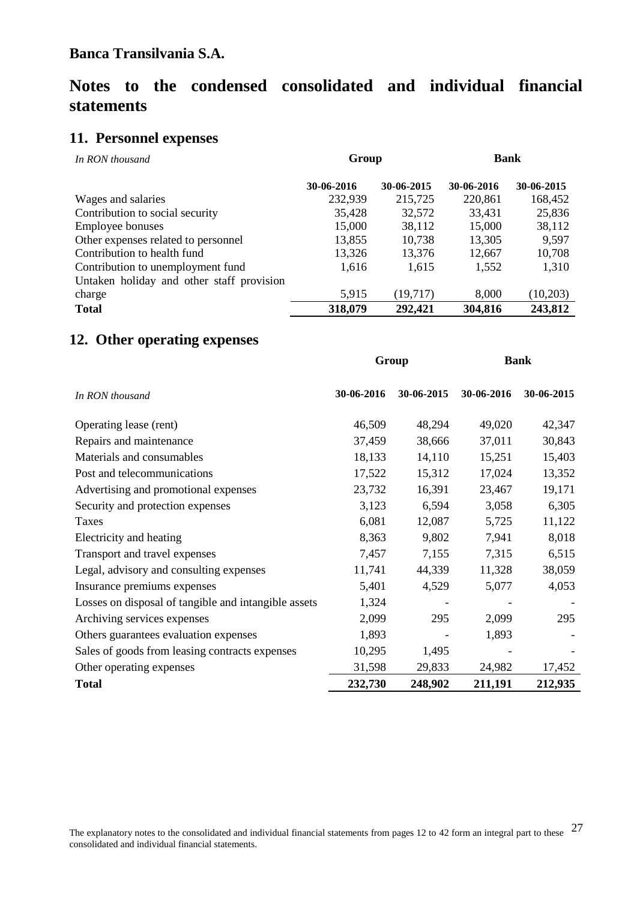# **Notes to the condensed consolidated and individual financial statements**

# **11. Personnel expenses**

| In RON thousand                           | Group      |            | <b>Bank</b> |            |
|-------------------------------------------|------------|------------|-------------|------------|
|                                           | 30-06-2016 | 30-06-2015 | 30-06-2016  | 30-06-2015 |
| Wages and salaries                        | 232,939    | 215,725    | 220,861     | 168,452    |
| Contribution to social security           | 35,428     | 32,572     | 33,431      | 25,836     |
| <b>Employee bonuses</b>                   | 15,000     | 38,112     | 15,000      | 38,112     |
| Other expenses related to personnel       | 13,855     | 10,738     | 13,305      | 9,597      |
| Contribution to health fund               | 13,326     | 13,376     | 12,667      | 10,708     |
| Contribution to unemployment fund         | 1,616      | 1,615      | 1,552       | 1,310      |
| Untaken holiday and other staff provision |            |            |             |            |
| charge                                    | 5,915      | (19,717)   | 8,000       | (10,203)   |
| <b>Total</b>                              | 318,079    | 292,421    | 304,816     | 243,812    |

# **12. Other operating expenses**

| Group                                                |            |            | <b>Bank</b> |            |  |
|------------------------------------------------------|------------|------------|-------------|------------|--|
| In RON thousand                                      | 30-06-2016 | 30-06-2015 | 30-06-2016  | 30-06-2015 |  |
| Operating lease (rent)                               | 46,509     | 48,294     | 49,020      | 42,347     |  |
| Repairs and maintenance                              | 37,459     | 38,666     | 37,011      | 30,843     |  |
| Materials and consumables                            | 18,133     | 14,110     | 15,251      | 15,403     |  |
| Post and telecommunications                          | 17,522     | 15,312     | 17,024      | 13,352     |  |
| Advertising and promotional expenses                 | 23,732     | 16,391     | 23,467      | 19,171     |  |
| Security and protection expenses                     | 3,123      | 6,594      | 3,058       | 6,305      |  |
| Taxes                                                | 6,081      | 12,087     | 5,725       | 11,122     |  |
| Electricity and heating                              | 8,363      | 9,802      | 7,941       | 8,018      |  |
| Transport and travel expenses                        | 7,457      | 7,155      | 7,315       | 6,515      |  |
| Legal, advisory and consulting expenses              | 11,741     | 44,339     | 11,328      | 38,059     |  |
| Insurance premiums expenses                          | 5,401      | 4,529      | 5,077       | 4,053      |  |
| Losses on disposal of tangible and intangible assets | 1,324      |            |             |            |  |
| Archiving services expenses                          | 2,099      | 295        | 2,099       | 295        |  |
| Others guarantees evaluation expenses                | 1,893      |            | 1,893       |            |  |
| Sales of goods from leasing contracts expenses       | 10,295     | 1,495      |             |            |  |
| Other operating expenses                             | 31,598     | 29,833     | 24,982      | 17,452     |  |
| <b>Total</b>                                         | 232,730    | 248,902    | 211,191     | 212,935    |  |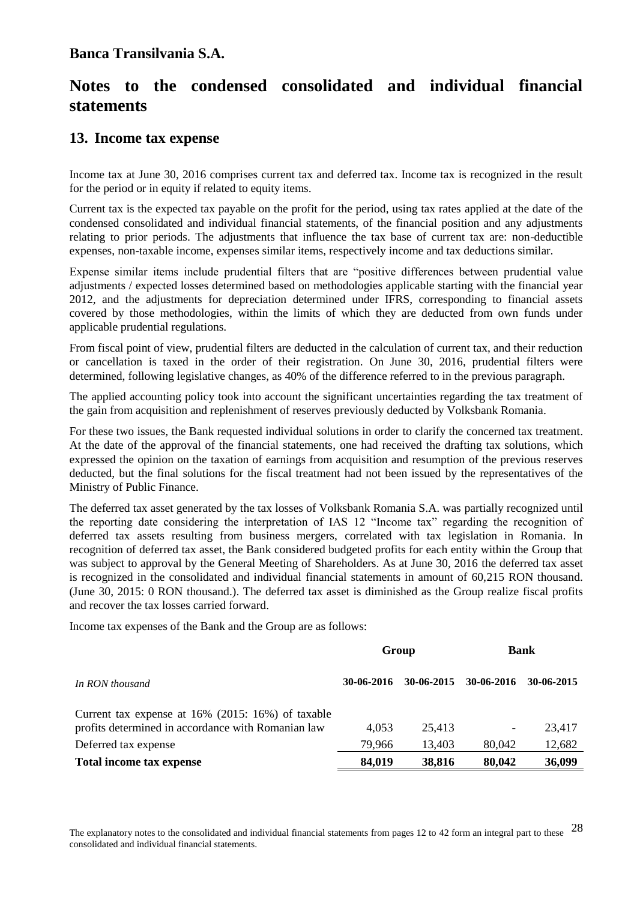# **Notes to the condensed consolidated and individual financial statements**

### **13.****Income tax expense**

Income tax at June 30, 2016 comprises current tax and deferred tax. Income tax is recognized in the result for the period or in equity if related to equity items.

Current tax is the expected tax payable on the profit for the period, using tax rates applied at the date of the condensed consolidated and individual financial statements, of the financial position and any adjustments relating to prior periods. The adjustments that influence the tax base of current tax are: non-deductible expenses, non-taxable income, expenses similar items, respectively income and tax deductions similar.

Expense similar items include prudential filters that are "positive differences between prudential value adjustments / expected losses determined based on methodologies applicable starting with the financial year 2012, and the adjustments for depreciation determined under IFRS, corresponding to financial assets covered by those methodologies, within the limits of which they are deducted from own funds under applicable prudential regulations.

From fiscal point of view, prudential filters are deducted in the calculation of current tax, and their reduction or cancellation is taxed in the order of their registration. On June 30, 2016, prudential filters were determined, following legislative changes, as 40% of the difference referred to in the previous paragraph.

The applied accounting policy took into account the significant uncertainties regarding the tax treatment of the gain from acquisition and replenishment of reserves previously deducted by Volksbank Romania.

For these two issues, the Bank requested individual solutions in order to clarify the concerned tax treatment. At the date of the approval of the financial statements, one had received the drafting tax solutions, which expressed the opinion on the taxation of earnings from acquisition and resumption of the previous reserves deducted, but the final solutions for the fiscal treatment had not been issued by the representatives of the Ministry of Public Finance.

The deferred tax asset generated by the tax losses of Volksbank Romania S.A. was partially recognized until the reporting date considering the interpretation of IAS 12 "Income tax" regarding the recognition of deferred tax assets resulting from business mergers, correlated with tax legislation in Romania. In recognition of deferred tax asset, the Bank considered budgeted profits for each entity within the Group that was subject to approval by the General Meeting of Shareholders. As at June 30, 2016 the deferred tax asset is recognized in the consolidated and individual financial statements in amount of 60,215 RON thousand. (June 30, 2015: 0 RON thousand.). The deferred tax asset is diminished as the Group realize fiscal profits and recover the tax losses carried forward.

Income tax expenses of the Bank and the Group are as follows:

|                                                                                                            |            | Group      |            | <b>Bank</b>  |
|------------------------------------------------------------------------------------------------------------|------------|------------|------------|--------------|
| In RON thousand                                                                                            | 30-06-2016 | 30-06-2015 | 30-06-2016 | $30-06-2015$ |
| Current tax expense at $16\%$ (2015: 16%) of taxable<br>profits determined in accordance with Romanian law | 4,053      | 25.413     |            | 23,417       |
| Deferred tax expense                                                                                       | 79,966     | 13,403     | 80,042     | 12,682       |
| Total income tax expense                                                                                   | 84,019     | 38,816     | 80,042     | 36,099       |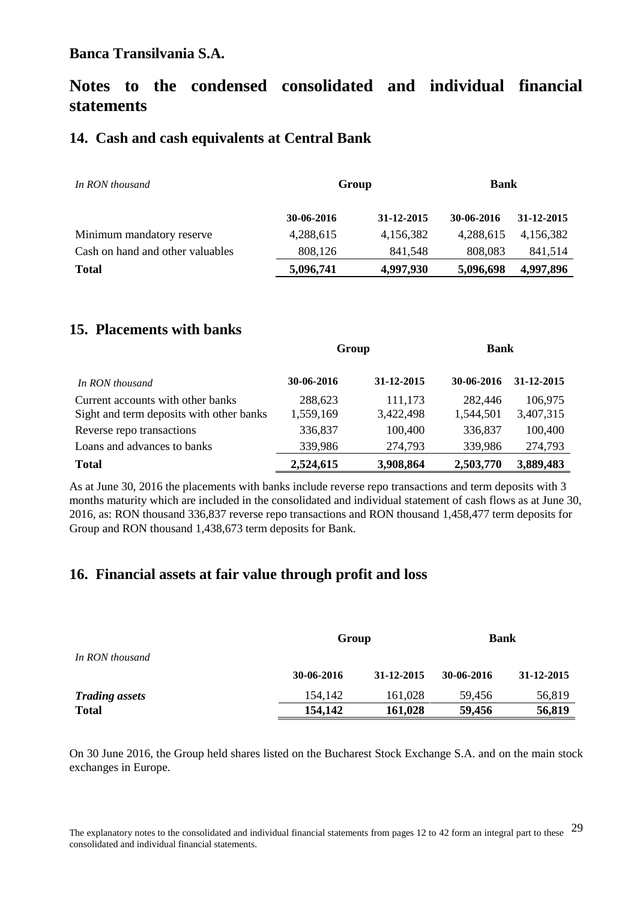# **Notes to the condensed consolidated and individual financial statements**

### **14. Cash and cash equivalents at Central Bank**

| In RON thousand                  |            | Group      |            | <b>Bank</b> |  |
|----------------------------------|------------|------------|------------|-------------|--|
|                                  | 30-06-2016 | 31-12-2015 | 30-06-2016 | 31-12-2015  |  |
| Minimum mandatory reserve        | 4,288,615  | 4,156,382  | 4,288,615  | 4.156.382   |  |
| Cash on hand and other valuables | 808,126    | 841,548    | 808,083    | 841,514     |  |
| <b>Total</b>                     | 5,096,741  | 4,997,930  | 5,096,698  | 4,997,896   |  |

## **15. Placements with banks**

|                                          | Group      |            | <b>Bank</b> |            |
|------------------------------------------|------------|------------|-------------|------------|
| In RON thousand                          | 30-06-2016 | 31-12-2015 | 30-06-2016  | 31-12-2015 |
| Current accounts with other banks        | 288,623    | 111,173    | 282,446     | 106,975    |
| Sight and term deposits with other banks | 1,559,169  | 3,422,498  | 1,544,501   | 3,407,315  |
| Reverse repo transactions                | 336,837    | 100,400    | 336,837     | 100,400    |
| Loans and advances to banks              | 339,986    | 274,793    | 339,986     | 274,793    |
| <b>Total</b>                             | 2,524,615  | 3,908,864  | 2,503,770   | 3,889,483  |

As at June 30, 2016 the placements with banks include reverse repo transactions and term deposits with 3 months maturity which are included in the consolidated and individual statement of cash flows as at June 30, 2016, as: RON thousand 336,837 reverse repo transactions and RON thousand 1,458,477 term deposits for Group and RON thousand 1,438,673 term deposits for Bank.

## **16. Financial assets at fair value through profit and loss**

|                       | Group      |            | <b>Bank</b> |            |
|-----------------------|------------|------------|-------------|------------|
| In RON thousand       |            |            |             |            |
|                       | 30-06-2016 | 31-12-2015 | 30-06-2016  | 31-12-2015 |
| <b>Trading assets</b> | 154.142    | 161,028    | 59.456      | 56,819     |
| <b>Total</b>          | 154,142    | 161,028    | 59,456      | 56,819     |

On 30 June 2016, the Group held shares listed on the Bucharest Stock Exchange S.A. and on the main stock exchanges in Europe.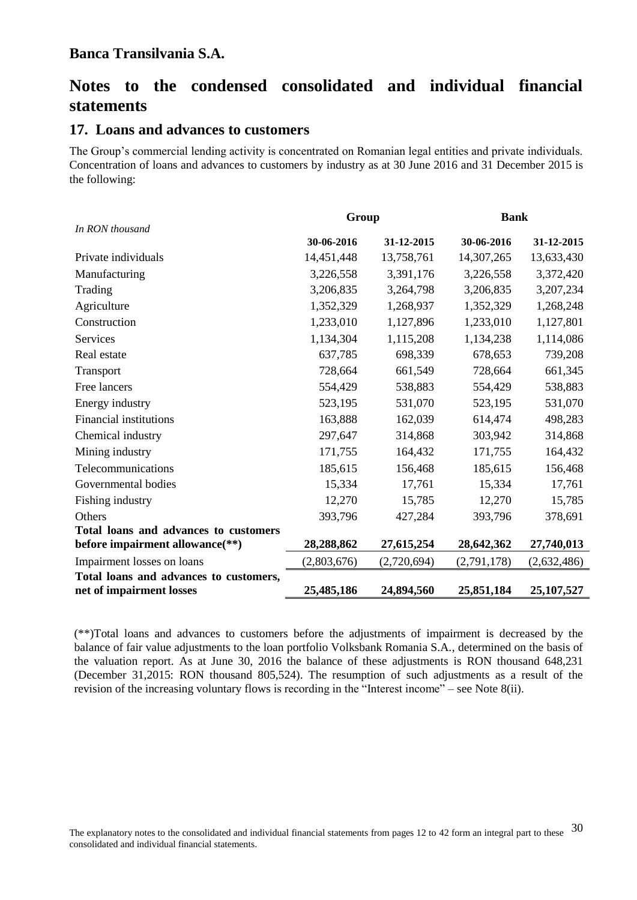# **Notes to the condensed consolidated and individual financial statements**

#### **17. Loans and advances to customers**

The Group's commercial lending activity is concentrated on Romanian legal entities and private individuals. Concentration of loans and advances to customers by industry as at 30 June 2016 and 31 December 2015 is the following:

|                                                                          | Group       |             | <b>Bank</b> |              |
|--------------------------------------------------------------------------|-------------|-------------|-------------|--------------|
| In RON thousand                                                          | 30-06-2016  | 31-12-2015  | 30-06-2016  | 31-12-2015   |
| Private individuals                                                      | 14,451,448  | 13,758,761  | 14,307,265  | 13,633,430   |
| Manufacturing                                                            | 3,226,558   | 3,391,176   | 3,226,558   | 3,372,420    |
| Trading                                                                  | 3,206,835   | 3,264,798   | 3,206,835   | 3,207,234    |
| Agriculture                                                              | 1,352,329   | 1,268,937   | 1,352,329   | 1,268,248    |
| Construction                                                             | 1,233,010   | 1,127,896   | 1,233,010   | 1,127,801    |
| Services                                                                 | 1,134,304   | 1,115,208   | 1,134,238   | 1,114,086    |
| Real estate                                                              | 637,785     | 698,339     | 678,653     | 739,208      |
| Transport                                                                | 728,664     | 661,549     | 728,664     | 661,345      |
| Free lancers                                                             | 554,429     | 538,883     | 554,429     | 538,883      |
| Energy industry                                                          | 523,195     | 531,070     | 523,195     | 531,070      |
| <b>Financial institutions</b>                                            | 163,888     | 162,039     | 614,474     | 498,283      |
| Chemical industry                                                        | 297,647     | 314,868     | 303,942     | 314,868      |
| Mining industry                                                          | 171,755     | 164,432     | 171,755     | 164,432      |
| Telecommunications                                                       | 185,615     | 156,468     | 185,615     | 156,468      |
| Governmental bodies                                                      | 15,334      | 17,761      | 15,334      | 17,761       |
| Fishing industry                                                         | 12,270      | 15,785      | 12,270      | 15,785       |
| Others                                                                   | 393,796     | 427,284     | 393,796     | 378,691      |
| Total loans and advances to customers<br>before impairment allowance(**) | 28,288,862  | 27,615,254  | 28,642,362  | 27,740,013   |
| Impairment losses on loans                                               | (2,803,676) | (2,720,694) | (2,791,178) | (2,632,486)  |
| Total loans and advances to customers,<br>net of impairment losses       | 25,485,186  | 24,894,560  | 25,851,184  | 25, 107, 527 |

(\*\*)Total loans and advances to customers before the adjustments of impairment is decreased by the balance of fair value adjustments to the loan portfolio Volksbank Romania S.A., determined on the basis of the valuation report. As at June 30, 2016 the balance of these adjustments is RON thousand 648,231 (December 31,2015: RON thousand 805,524). The resumption of such adjustments as a result of the revision of the increasing voluntary flows is recording in the "Interest income" – see Note 8(ii).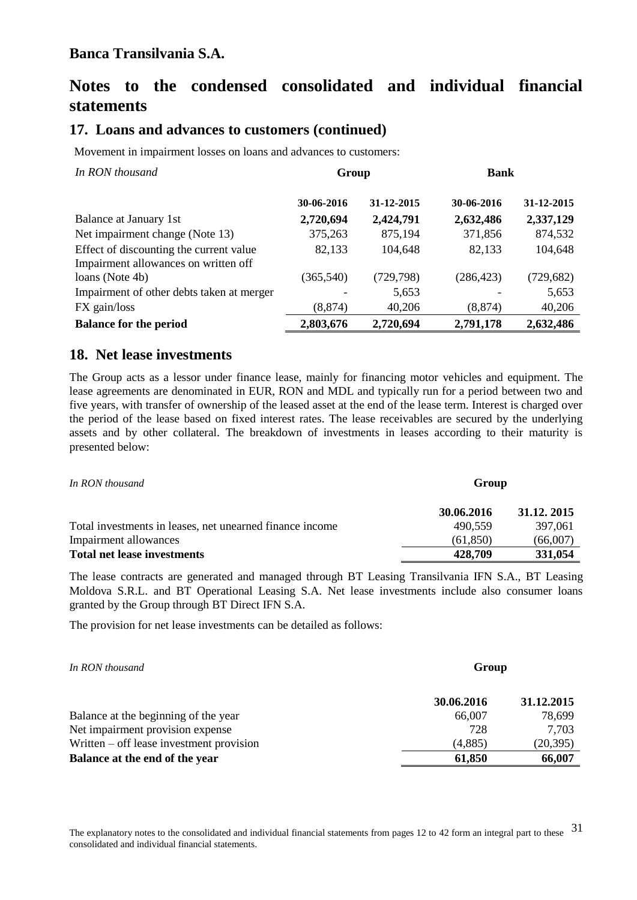# **Notes to the condensed consolidated and individual financial statements**

# **17. Loans and advances to customers (continued)**

Movement in impairment losses on loans and advances to customers:

| In RON thousand                           | Group      |            | <b>Bank</b> |            |
|-------------------------------------------|------------|------------|-------------|------------|
|                                           | 30-06-2016 | 31-12-2015 | 30-06-2016  | 31-12-2015 |
| Balance at January 1st                    | 2,720,694  | 2,424,791  | 2,632,486   | 2,337,129  |
| Net impairment change (Note 13)           | 375,263    | 875,194    | 371,856     | 874,532    |
| Effect of discounting the current value   | 82,133     | 104,648    | 82,133      | 104,648    |
| Impairment allowances on written off      |            |            |             |            |
| loans (Note 4b)                           | (365, 540) | (729, 798) | (286, 423)  | (729, 682) |
| Impairment of other debts taken at merger |            | 5,653      |             | 5,653      |
| FX gain/loss                              | (8, 874)   | 40,206     | (8, 874)    | 40,206     |
| <b>Balance for the period</b>             | 2,803,676  | 2,720,694  | 2,791,178   | 2,632,486  |

# **18. Net lease investments**

The Group acts as a lessor under finance lease, mainly for financing motor vehicles and equipment. The lease agreements are denominated in EUR, RON and MDL and typically run for a period between two and five years, with transfer of ownership of the leased asset at the end of the lease term. Interest is charged over the period of the lease based on fixed interest rates. The lease receivables are secured by the underlying assets and by other collateral. The breakdown of investments in leases according to their maturity is presented below:

| In RON thousand                                          | Group      |            |  |
|----------------------------------------------------------|------------|------------|--|
|                                                          | 30.06.2016 | 31.12.2015 |  |
| Total investments in leases, net unearned finance income | 490.559    | 397,061    |  |
| Impairment allowances                                    | (61, 850)  | (66,007)   |  |
| <b>Total net lease investments</b>                       | 428,709    | 331,054    |  |

The lease contracts are generated and managed through BT Leasing Transilvania IFN S.A., BT Leasing Moldova S.R.L. and BT Operational Leasing S.A. Net lease investments include also consumer loans granted by the Group through BT Direct IFN S.A.

The provision for net lease investments can be detailed as follows:

| In RON thousand                          | Group      |            |  |
|------------------------------------------|------------|------------|--|
|                                          | 30.06.2016 | 31.12.2015 |  |
| Balance at the beginning of the year     | 66,007     | 78,699     |  |
| Net impairment provision expense         | 728        | 7,703      |  |
| Written – off lease investment provision | (4,885)    | (20, 395)  |  |
| Balance at the end of the year           | 61,850     | 66,007     |  |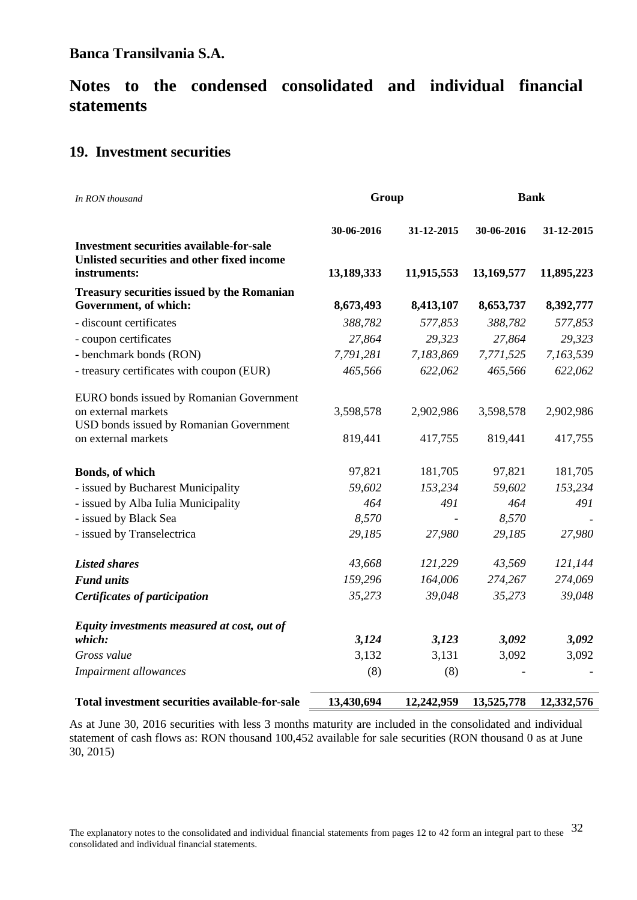# **Notes to the condensed consolidated and individual financial statements**

## **19. Investment securities**

| In RON thousand                                                                                               | Group      |            | <b>Bank</b> |            |  |
|---------------------------------------------------------------------------------------------------------------|------------|------------|-------------|------------|--|
|                                                                                                               | 30-06-2016 | 31-12-2015 | 30-06-2016  | 31-12-2015 |  |
| <b>Investment securities available-for-sale</b><br>Unlisted securities and other fixed income<br>instruments: | 13,189,333 | 11,915,553 | 13,169,577  | 11,895,223 |  |
| <b>Treasury securities issued by the Romanian</b><br>Government, of which:                                    | 8,673,493  | 8,413,107  | 8,653,737   | 8,392,777  |  |
| - discount certificates                                                                                       | 388,782    | 577,853    | 388,782     | 577,853    |  |
| - coupon certificates                                                                                         | 27,864     | 29,323     | 27,864      | 29,323     |  |
| - benchmark bonds (RON)                                                                                       | 7,791,281  | 7,183,869  | 7,771,525   | 7,163,539  |  |
| - treasury certificates with coupon (EUR)                                                                     | 465,566    | 622,062    | 465,566     | 622,062    |  |
| EURO bonds issued by Romanian Government                                                                      |            |            |             |            |  |
| on external markets<br>USD bonds issued by Romanian Government                                                | 3,598,578  | 2,902,986  | 3,598,578   | 2,902,986  |  |
| on external markets                                                                                           | 819,441    | 417,755    | 819,441     | 417,755    |  |
| Bonds, of which                                                                                               | 97,821     | 181,705    | 97,821      | 181,705    |  |
| - issued by Bucharest Municipality                                                                            | 59,602     | 153,234    | 59,602      | 153,234    |  |
| - issued by Alba Iulia Municipality                                                                           | 464        | 491        | 464         | 491        |  |
| - issued by Black Sea                                                                                         | 8,570      |            | 8,570       |            |  |
| - issued by Transelectrica                                                                                    | 29,185     | 27,980     | 29,185      | 27,980     |  |
| <b>Listed shares</b>                                                                                          | 43,668     | 121,229    | 43,569      | 121,144    |  |
| <b>Fund units</b>                                                                                             | 159,296    | 164,006    | 274,267     | 274,069    |  |
| <b>Certificates of participation</b>                                                                          | 35,273     | 39,048     | 35,273      | 39,048     |  |
| Equity investments measured at cost, out of                                                                   |            |            |             |            |  |
| which:                                                                                                        | 3,124      | 3,123      | 3,092       | 3,092      |  |
| Gross value                                                                                                   | 3,132      | 3,131      | 3,092       | 3,092      |  |
| <b>Impairment allowances</b>                                                                                  | (8)        | (8)        |             |            |  |
| Total investment securities available-for-sale                                                                | 13,430,694 | 12,242,959 | 13,525,778  | 12,332,576 |  |

As at June 30, 2016 securities with less 3 months maturity are included in the consolidated and individual statement of cash flows as: RON thousand 100,452 available for sale securities (RON thousand 0 as at June 30, 2015)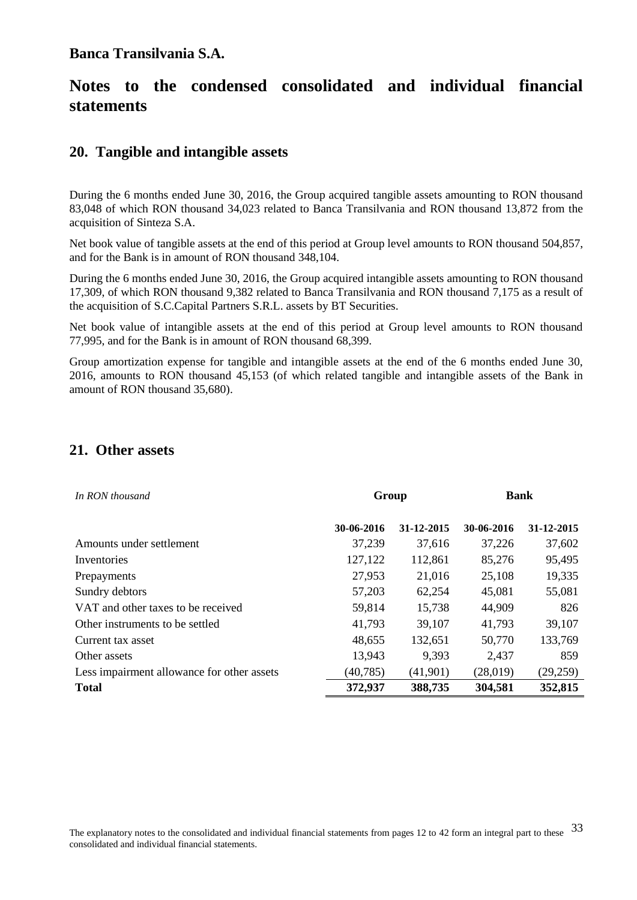# **Notes to the condensed consolidated and individual financial statements**

#### **20. Tangible and intangible assets**

During the 6 months ended June 30, 2016, the Group acquired tangible assets amounting to RON thousand 83,048 of which RON thousand 34,023 related to Banca Transilvania and RON thousand 13,872 from the acquisition of Sinteza S.A.

Net book value of tangible assets at the end of this period at Group level amounts to RON thousand 504,857, and for the Bank is in amount of RON thousand 348,104.

During the 6 months ended June 30, 2016, the Group acquired intangible assets amounting to RON thousand 17,309, of which RON thousand 9,382 related to Banca Transilvania and RON thousand 7,175 as a result of the acquisition of S.C.Capital Partners S.R.L. assets by BT Securities.

Net book value of intangible assets at the end of this period at Group level amounts to RON thousand 77,995, and for the Bank is in amount of RON thousand 68,399.

Group amortization expense for tangible and intangible assets at the end of the 6 months ended June 30, 2016, amounts to RON thousand 45,153 (of which related tangible and intangible assets of the Bank in amount of RON thousand 35,680).

#### **21. Other assets**

| In RON thousand                            | Group      |            | <b>Bank</b> |            |
|--------------------------------------------|------------|------------|-------------|------------|
|                                            | 30-06-2016 | 31-12-2015 | 30-06-2016  | 31-12-2015 |
| Amounts under settlement                   | 37,239     | 37.616     | 37,226      | 37,602     |
| Inventories                                | 127,122    | 112,861    | 85,276      | 95,495     |
| Prepayments                                | 27,953     | 21,016     | 25,108      | 19,335     |
| Sundry debtors                             | 57,203     | 62,254     | 45,081      | 55,081     |
| VAT and other taxes to be received         | 59,814     | 15,738     | 44,909      | 826        |
| Other instruments to be settled            | 41,793     | 39,107     | 41,793      | 39,107     |
| Current tax asset                          | 48,655     | 132,651    | 50,770      | 133,769    |
| Other assets                               | 13,943     | 9,393      | 2,437       | 859        |
| Less impairment allowance for other assets | (40, 785)  | (41,901)   | (28,019)    | (29, 259)  |
| <b>Total</b>                               | 372,937    | 388,735    | 304,581     | 352,815    |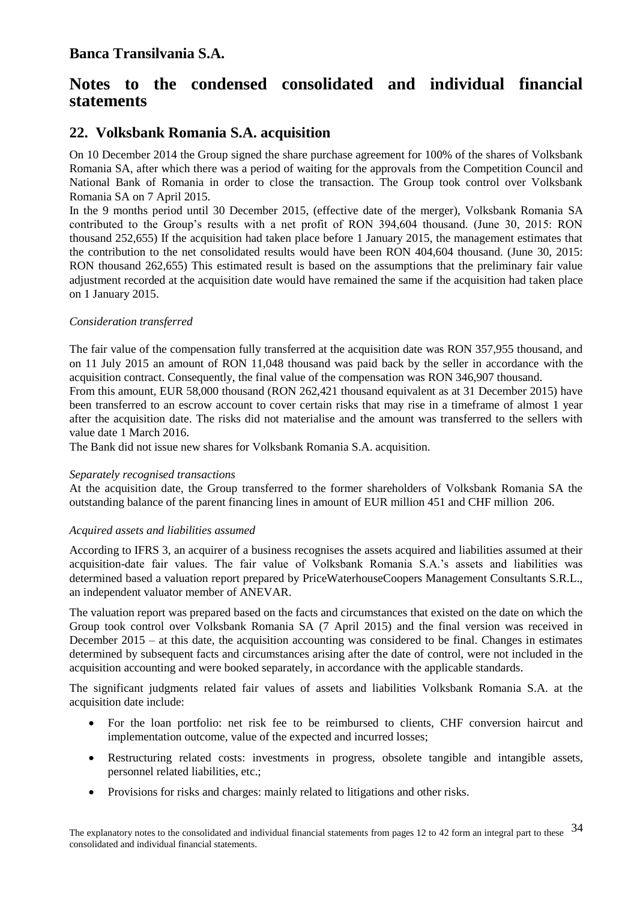# **Notes to the condensed consolidated and individual financial statements**

## **22. Volksbank Romania S.A. acquisition**

On 10 December 2014 the Group signed the share purchase agreement for 100% of the shares of Volksbank Romania SA, after which there was a period of waiting for the approvals from the Competition Council and National Bank of Romania in order to close the transaction. The Group took control over Volksbank Romania SA on 7 April 2015.

In the 9 months period until 30 December 2015, (effective date of the merger), Volksbank Romania SA contributed to the Group's results with a net profit of RON 394,604 thousand. (June 30, 2015: RON thousand 252,655) If the acquisition had taken place before 1 January 2015, the management estimates that the contribution to the net consolidated results would have been RON 404,604 thousand. (June 30, 2015: RON thousand 262,655) This estimated result is based on the assumptions that the preliminary fair value adjustment recorded at the acquisition date would have remained the same if the acquisition had taken place on 1 January 2015.

#### *Consideration transferred*

The fair value of the compensation fully transferred at the acquisition date was RON 357,955 thousand, and on 11 July 2015 an amount of RON 11,048 thousand was paid back by the seller in accordance with the acquisition contract. Consequently, the final value of the compensation was RON 346,907 thousand.

From this amount, EUR 58,000 thousand (RON 262,421 thousand equivalent as at 31 December 2015) have been transferred to an escrow account to cover certain risks that may rise in a timeframe of almost 1 year after the acquisition date. The risks did not materialise and the amount was transferred to the sellers with value date 1 March 2016.

The Bank did not issue new shares for Volksbank Romania S.A. acquisition.

#### *Separately recognised transactions*

At the acquisition date, the Group transferred to the former shareholders of Volksbank Romania SA the outstanding balance of the parent financing lines in amount of EUR million 451 and CHF million 206.

#### *Acquired assets and liabilities assumed*

According to IFRS 3, an acquirer of a business recognises the assets acquired and liabilities assumed at their acquisition-date fair values. The fair value of Volksbank Romania S.A.'s assets and liabilities was determined based a valuation report prepared by PriceWaterhouseCoopers Management Consultants S.R.L., an independent valuator member of ANEVAR.

The valuation report was prepared based on the facts and circumstances that existed on the date on which the Group took control over Volksbank Romania SA (7 April 2015) and the final version was received in December  $2015 - at$  this date, the acquisition accounting was considered to be final. Changes in estimates determined by subsequent facts and circumstances arising after the date of control, were not included in the acquisition accounting and were booked separately, in accordance with the applicable standards.

The significant judgments related fair values of assets and liabilities Volksbank Romania S.A. at the acquisition date include:

- For the loan portfolio: net risk fee to be reimbursed to clients, CHF conversion haircut and implementation outcome, value of the expected and incurred losses;
- Restructuring related costs: investments in progress, obsolete tangible and intangible assets, personnel related liabilities, etc.;
- Provisions for risks and charges: mainly related to litigations and other risks.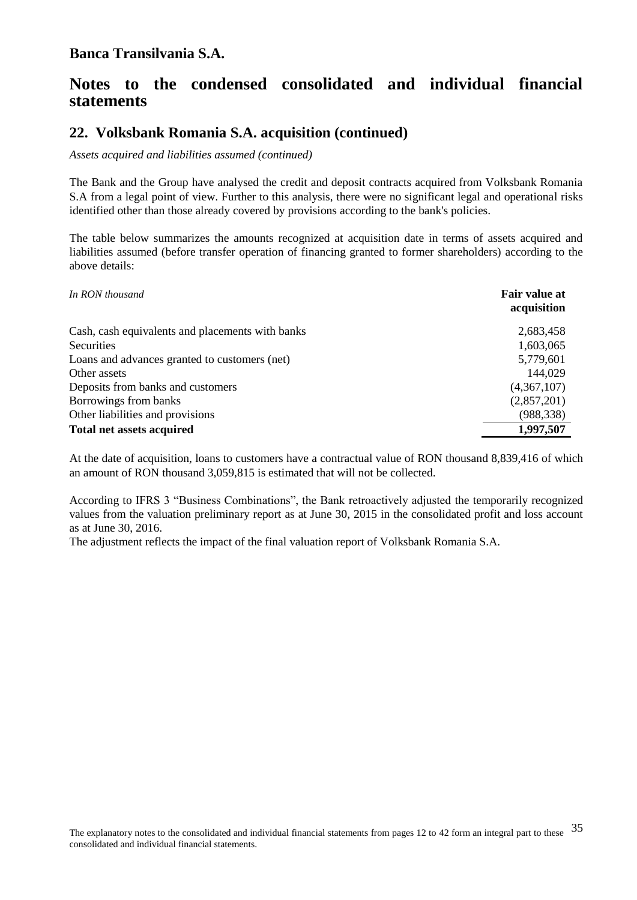# **Notes to the condensed consolidated and individual financial statements**

### **22. Volksbank Romania S.A. acquisition (continued)**

*Assets acquired and liabilities assumed (continued)*

The Bank and the Group have analysed the credit and deposit contracts acquired from Volksbank Romania S.A from a legal point of view. Further to this analysis, there were no significant legal and operational risks identified other than those already covered by provisions according to the bank's policies.

The table below summarizes the amounts recognized at acquisition date in terms of assets acquired and liabilities assumed (before transfer operation of financing granted to former shareholders) according to the above details:

| In RON thousand                                  | Fair value at<br>acquisition |
|--------------------------------------------------|------------------------------|
| Cash, cash equivalents and placements with banks | 2,683,458                    |
| Securities                                       | 1,603,065                    |
| Loans and advances granted to customers (net)    | 5,779,601                    |
| Other assets                                     | 144,029                      |
| Deposits from banks and customers                | (4,367,107)                  |
| Borrowings from banks                            | (2,857,201)                  |
| Other liabilities and provisions                 | (988, 338)                   |
| <b>Total net assets acquired</b>                 | 1,997,507                    |

At the date of acquisition, loans to customers have a contractual value of RON thousand 8,839,416 of which an amount of RON thousand 3,059,815 is estimated that will not be collected.

According to IFRS 3 "Business Combinations", the Bank retroactively adjusted the temporarily recognized values from the valuation preliminary report as at June 30, 2015 in the consolidated profit and loss account as at June 30, 2016.

The adjustment reflects the impact of the final valuation report of Volksbank Romania S.A.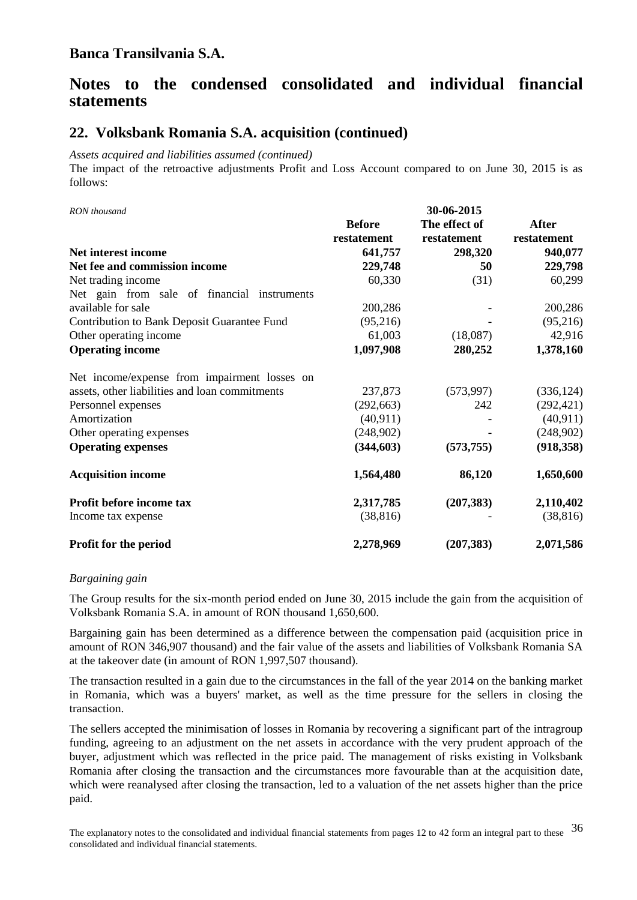# **Notes to the condensed consolidated and individual financial statements**

### **22. Volksbank Romania S.A. acquisition (continued)**

*Assets acquired and liabilities assumed (continued)*

The impact of the retroactive adjustments Profit and Loss Account compared to on June 30, 2015 is as follows:

*RON thousand* **30-06-2015**

|                                                | <b>Before</b><br>restatement | The effect of<br>restatement | <b>After</b><br>restatement |
|------------------------------------------------|------------------------------|------------------------------|-----------------------------|
| Net interest income                            | 641,757                      | 298,320                      | 940,077                     |
| Net fee and commission income                  | 229,748                      | 50                           | 229,798                     |
| Net trading income                             | 60,330                       | (31)                         | 60,299                      |
| Net gain from sale of financial instruments    |                              |                              |                             |
| available for sale                             | 200,286                      |                              | 200,286                     |
| Contribution to Bank Deposit Guarantee Fund    | (95,216)                     |                              | (95,216)                    |
| Other operating income                         | 61,003                       | (18,087)                     | 42,916                      |
| <b>Operating income</b>                        | 1,097,908                    | 280,252                      | 1,378,160                   |
| Net income/expense from impairment losses on   |                              |                              |                             |
| assets, other liabilities and loan commitments | 237,873                      | (573, 997)                   | (336, 124)                  |
| Personnel expenses                             | (292, 663)                   | 242                          | (292, 421)                  |
| Amortization                                   | (40, 911)                    |                              | (40, 911)                   |
| Other operating expenses                       | (248,902)                    |                              | (248,902)                   |
| <b>Operating expenses</b>                      | (344, 603)                   | (573, 755)                   | (918, 358)                  |
| <b>Acquisition income</b>                      | 1,564,480                    | 86,120                       | 1,650,600                   |
| Profit before income tax                       | 2,317,785                    | (207, 383)                   | 2,110,402                   |
| Income tax expense                             | (38, 816)                    |                              | (38, 816)                   |
| <b>Profit for the period</b>                   | 2,278,969                    | (207, 383)                   | 2,071,586                   |

#### *Bargaining gain*

The Group results for the six-month period ended on June 30, 2015 include the gain from the acquisition of Volksbank Romania S.A. in amount of RON thousand 1,650,600.

Bargaining gain has been determined as a difference between the compensation paid (acquisition price in amount of RON 346,907 thousand) and the fair value of the assets and liabilities of Volksbank Romania SA at the takeover date (in amount of RON 1,997,507 thousand).

The transaction resulted in a gain due to the circumstances in the fall of the year 2014 on the banking market in Romania, which was a buyers' market, as well as the time pressure for the sellers in closing the transaction.

The sellers accepted the minimisation of losses in Romania by recovering a significant part of the intragroup funding, agreeing to an adjustment on the net assets in accordance with the very prudent approach of the buyer, adjustment which was reflected in the price paid. The management of risks existing in Volksbank Romania after closing the transaction and the circumstances more favourable than at the acquisition date, which were reanalysed after closing the transaction, led to a valuation of the net assets higher than the price paid.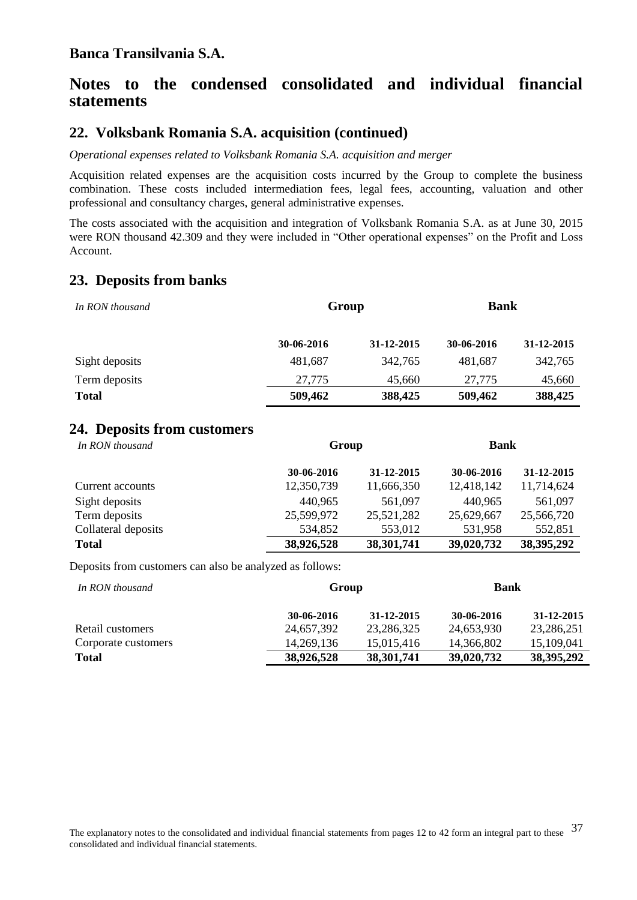# **Notes to the condensed consolidated and individual financial statements**

## **22. Volksbank Romania S.A. acquisition (continued)**

*Operational expenses related to Volksbank Romania S.A. acquisition and merger*

Acquisition related expenses are the acquisition costs incurred by the Group to complete the business combination. These costs included intermediation fees, legal fees, accounting, valuation and other professional and consultancy charges, general administrative expenses.

The costs associated with the acquisition and integration of Volksbank Romania S.A. as at June 30, 2015 were RON thousand 42.309 and they were included in "Other operational expenses" on the Profit and Loss Account.

## **23. Deposits from banks**

| In RON thousand |            | Group      |            | <b>Bank</b> |  |
|-----------------|------------|------------|------------|-------------|--|
|                 | 30-06-2016 | 31-12-2015 | 30-06-2016 | 31-12-2015  |  |
| Sight deposits  | 481,687    | 342,765    | 481,687    | 342,765     |  |
| Term deposits   | 27.775     | 45,660     | 27,775     | 45,660      |  |
| <b>Total</b>    | 509,462    | 388,425    | 509,462    | 388,425     |  |

#### **24. Deposits from customers**

| In RON thousand     |            | Group      |            | <b>Bank</b>  |  |
|---------------------|------------|------------|------------|--------------|--|
|                     | 30-06-2016 | 31-12-2015 | 30-06-2016 | 31-12-2015   |  |
| Current accounts    | 12,350,739 | 11,666,350 | 12,418,142 | 11,714,624   |  |
| Sight deposits      | 440,965    | 561,097    | 440,965    | 561,097      |  |
| Term deposits       | 25,599,972 | 25,521,282 | 25,629,667 | 25,566,720   |  |
| Collateral deposits | 534,852    | 553,012    | 531,958    | 552,851      |  |
| <b>Total</b>        | 38,926,528 | 38,301,741 | 39,020,732 | 38, 395, 292 |  |

Deposits from customers can also be analyzed as follows:

| In RON thousand     |            | Group        |            | <b>Bank</b>  |  |
|---------------------|------------|--------------|------------|--------------|--|
|                     | 30-06-2016 | 31-12-2015   | 30-06-2016 | 31-12-2015   |  |
| Retail customers    | 24,657,392 | 23,286,325   | 24,653,930 | 23,286,251   |  |
| Corporate customers | 14.269.136 | 15.015.416   | 14,366,802 | 15,109,041   |  |
| <b>Total</b>        | 38,926,528 | 38, 301, 741 | 39,020,732 | 38, 395, 292 |  |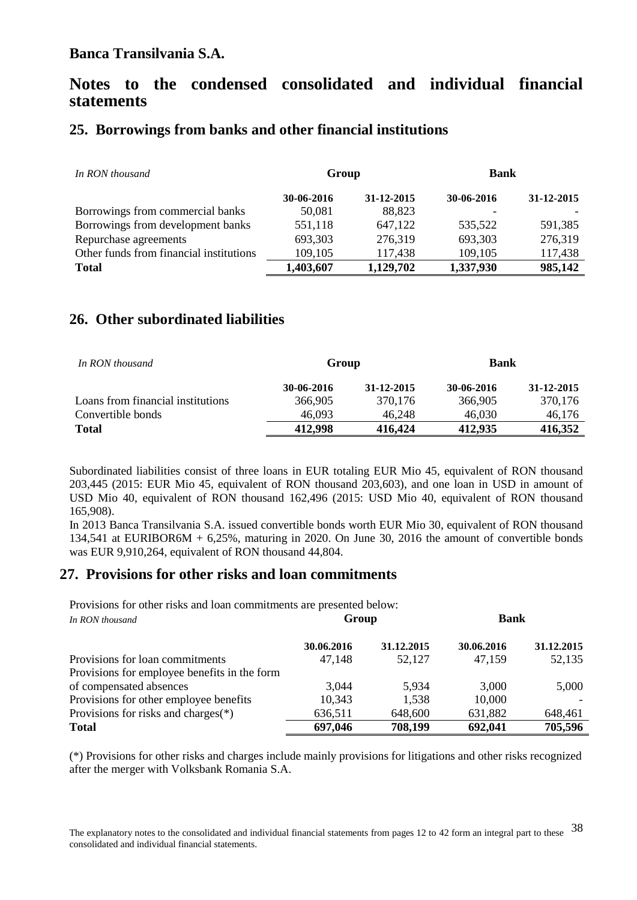# **Notes to the condensed consolidated and individual financial statements**

## **25. Borrowings from banks and other financial institutions**

| In RON thousand                         | Group      |            | <b>Bank</b> |            |
|-----------------------------------------|------------|------------|-------------|------------|
|                                         | 30-06-2016 | 31-12-2015 | 30-06-2016  | 31-12-2015 |
| Borrowings from commercial banks        | 50,081     | 88,823     |             |            |
| Borrowings from development banks       | 551,118    | 647,122    | 535,522     | 591,385    |
| Repurchase agreements                   | 693,303    | 276,319    | 693,303     | 276,319    |
| Other funds from financial institutions | 109,105    | 117,438    | 109,105     | 117,438    |
| <b>Total</b>                            | 1,403,607  | 1,129,702  | 1,337,930   | 985,142    |

## **26. Other subordinated liabilities**

| In RON thousand                   | Group      |            | Bank       |            |
|-----------------------------------|------------|------------|------------|------------|
|                                   | 30-06-2016 | 31-12-2015 | 30-06-2016 | 31-12-2015 |
| Loans from financial institutions | 366,905    | 370.176    | 366,905    | 370,176    |
| Convertible bonds                 | 46,093     | 46,248     | 46,030     | 46,176     |
| <b>Total</b>                      | 412,998    | 416,424    | 412,935    | 416.352    |

Subordinated liabilities consist of three loans in EUR totaling EUR Mio 45, equivalent of RON thousand 203,445 (2015: EUR Mio 45, equivalent of RON thousand 203,603), and one loan in USD in amount of USD Mio 40, equivalent of RON thousand 162,496 (2015: USD Mio 40, equivalent of RON thousand 165,908).

In 2013 Banca Transilvania S.A. issued convertible bonds worth EUR Mio 30, equivalent of RON thousand 134,541 at EURIBOR6M + 6,25%, maturing in 2020. On June 30, 2016 the amount of convertible bonds was EUR 9,910,264, equivalent of RON thousand 44,804.

### **27. Provisions for other risks and loan commitments**

Provisions for other risks and loan commitments are presented below: *In RON thousand* **Group Bank**

| - 111 ISOTS MOUSUNU                          | <b>UIVUD</b> |            |            |            |
|----------------------------------------------|--------------|------------|------------|------------|
|                                              | 30.06.2016   | 31.12.2015 | 30.06.2016 | 31.12.2015 |
| Provisions for loan commitments              | 47,148       | 52,127     | 47,159     | 52,135     |
| Provisions for employee benefits in the form |              |            |            |            |
| of compensated absences                      | 3,044        | 5.934      | 3,000      | 5,000      |
| Provisions for other employee benefits       | 10,343       | 1,538      | 10,000     |            |
| Provisions for risks and charges $(*)$       | 636,511      | 648,600    | 631,882    | 648,461    |
| <b>Total</b>                                 | 697,046      | 708,199    | 692,041    | 705,596    |

(\*) Provisions for other risks and charges include mainly provisions for litigations and other risks recognized after the merger with Volksbank Romania S.A.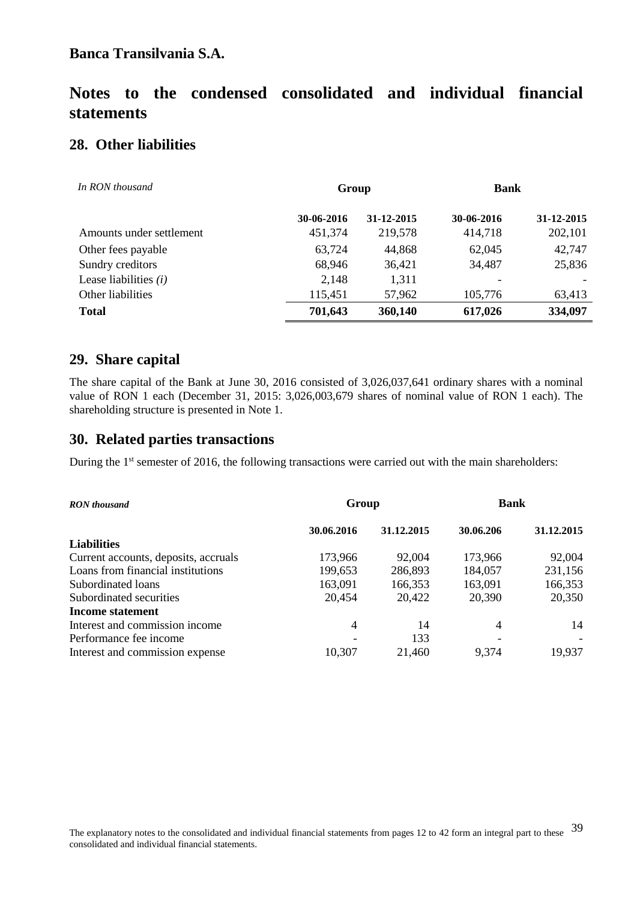# **Notes to the condensed consolidated and individual financial statements**

## **28. Other liabilities**

| In RON thousand          | Group      |            | <b>Bank</b> |            |
|--------------------------|------------|------------|-------------|------------|
|                          | 30-06-2016 | 31-12-2015 | 30-06-2016  | 31-12-2015 |
| Amounts under settlement | 451,374    | 219,578    | 414,718     | 202,101    |
| Other fees payable       | 63,724     | 44,868     | 62,045      | 42,747     |
| Sundry creditors         | 68,946     | 36,421     | 34,487      | 25,836     |
| Lease liabilities $(i)$  | 2,148      | 1,311      |             |            |
| Other liabilities        | 115,451    | 57,962     | 105,776     | 63,413     |
| <b>Total</b>             | 701,643    | 360,140    | 617,026     | 334,097    |

## **29. Share capital**

The share capital of the Bank at June 30, 2016 consisted of 3,026,037,641 ordinary shares with a nominal value of RON 1 each (December 31, 2015: 3,026,003,679 shares of nominal value of RON 1 each). The shareholding structure is presented in Note 1.

### **30. Related parties transactions**

During the 1<sup>st</sup> semester of 2016, the following transactions were carried out with the main shareholders:

| <b>RON</b> thousand                  | Group      |            | <b>Bank</b> |            |
|--------------------------------------|------------|------------|-------------|------------|
|                                      | 30.06.2016 | 31.12.2015 | 30.06.206   | 31.12.2015 |
| <b>Liabilities</b>                   |            |            |             |            |
| Current accounts, deposits, accruals | 173,966    | 92,004     | 173,966     | 92,004     |
| Loans from financial institutions    | 199,653    | 286,893    | 184,057     | 231,156    |
| Subordinated loans                   | 163,091    | 166,353    | 163,091     | 166,353    |
| Subordinated securities              | 20,454     | 20,422     | 20,390      | 20,350     |
| Income statement                     |            |            |             |            |
| Interest and commission income       | 4          | 14         | 4           | 14         |
| Performance fee income               |            | 133        |             |            |
| Interest and commission expense      | 10,307     | 21,460     | 9,374       | 19,937     |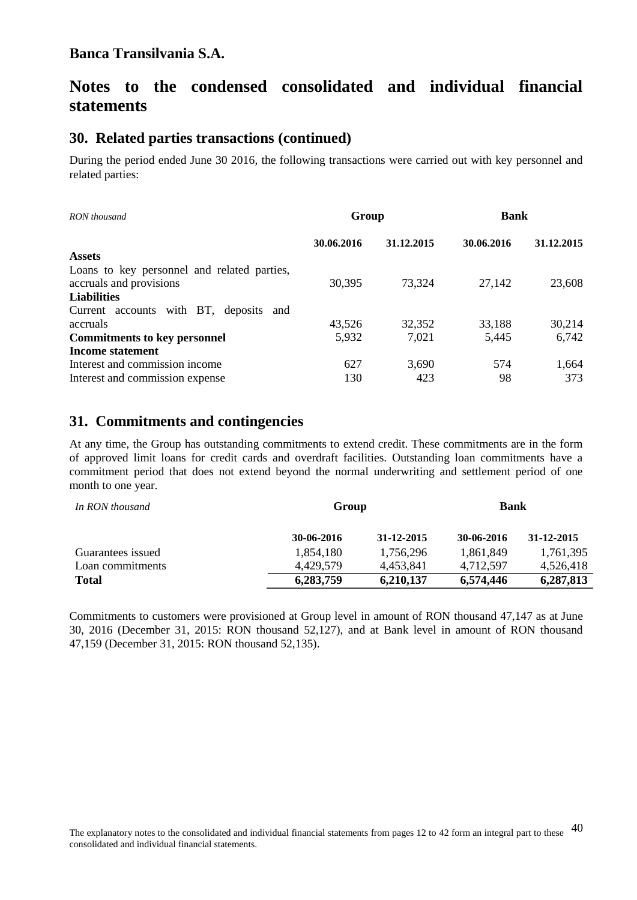# **Notes to the condensed consolidated and individual financial statements**

#### **30. Related parties transactions (continued)**

During the period ended June 30 2016, the following transactions were carried out with key personnel and related parties:

| RON thousand                                                           | Group      |            | <b>Bank</b> |            |
|------------------------------------------------------------------------|------------|------------|-------------|------------|
|                                                                        | 30.06.2016 | 31.12.2015 | 30.06.2016  | 31.12.2015 |
| <b>Assets</b>                                                          |            |            |             |            |
| Loans to key personnel and related parties,<br>accruals and provisions | 30,395     | 73,324     | 27,142      | 23,608     |
| <b>Liabilities</b>                                                     |            |            |             |            |
| Current accounts with BT, deposits and                                 |            |            |             |            |
| accruals                                                               | 43,526     | 32,352     | 33,188      | 30,214     |
| <b>Commitments to key personnel</b>                                    | 5,932      | 7,021      | 5,445       | 6,742      |
| <b>Income statement</b>                                                |            |            |             |            |
| Interest and commission income                                         | 627        | 3,690      | 574         | 1,664      |
| Interest and commission expense                                        | 130        | 423        | 98          | 373        |

#### **31. Commitments and contingencies**

At any time, the Group has outstanding commitments to extend credit. These commitments are in the form of approved limit loans for credit cards and overdraft facilities. Outstanding loan commitments have a commitment period that does not extend beyond the normal underwriting and settlement period of one month to one year.

| In RON thousand   |            | Group      |            | <b>Bank</b> |  |
|-------------------|------------|------------|------------|-------------|--|
|                   | 30-06-2016 | 31-12-2015 | 30-06-2016 | 31-12-2015  |  |
| Guarantees issued | 1,854,180  | 1,756,296  | 1.861.849  | 1,761,395   |  |
| Loan commitments  | 4.429.579  | 4,453,841  | 4,712,597  | 4,526,418   |  |
| <b>Total</b>      | 6,283,759  | 6,210,137  | 6,574,446  | 6,287,813   |  |

Commitments to customers were provisioned at Group level in amount of RON thousand 47,147 as at June 30, 2016 (December 31, 2015: RON thousand 52,127), and at Bank level in amount of RON thousand 47,159 (December 31, 2015: RON thousand 52,135).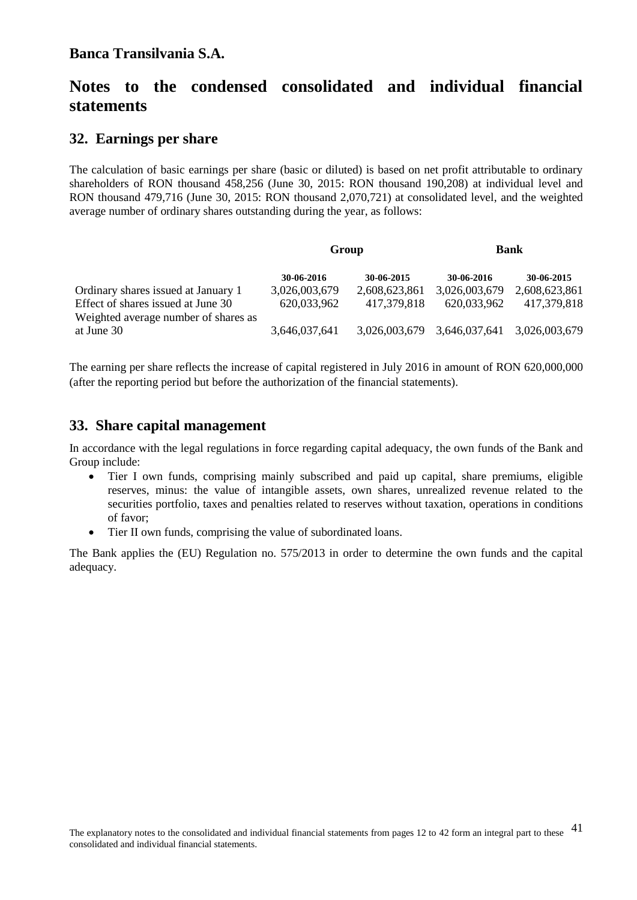# **Notes to the condensed consolidated and individual financial statements**

### **32. Earnings per share**

The calculation of basic earnings per share (basic or diluted) is based on net profit attributable to ordinary shareholders of RON thousand 458,256 (June 30, 2015: RON thousand 190,208) at individual level and RON thousand 479,716 (June 30, 2015: RON thousand 2,070,721) at consolidated level, and the weighted average number of ordinary shares outstanding during the year, as follows:

|                                                                            | Group         |               | <b>Bank</b>   |               |
|----------------------------------------------------------------------------|---------------|---------------|---------------|---------------|
|                                                                            | 30-06-2016    | 30-06-2015    | 30-06-2016    | 30-06-2015    |
| Ordinary shares issued at January 1                                        | 3,026,003,679 | 2,608,623,861 | 3,026,003,679 | 2,608,623,861 |
| Effect of shares issued at June 30<br>Weighted average number of shares as | 620,033,962   | 417,379,818   | 620,033,962   | 417,379,818   |
| at June 30                                                                 | 3,646,037,641 | 3,026,003,679 | 3,646,037,641 | 3,026,003,679 |

The earning per share reflects the increase of capital registered in July 2016 in amount of RON 620,000,000 (after the reporting period but before the authorization of the financial statements).

## **33. Share capital management**

In accordance with the legal regulations in force regarding capital adequacy, the own funds of the Bank and Group include:

- Tier I own funds, comprising mainly subscribed and paid up capital, share premiums, eligible reserves, minus: the value of intangible assets, own shares, unrealized revenue related to the securities portfolio, taxes and penalties related to reserves without taxation, operations in conditions of favor;
- Tier II own funds, comprising the value of subordinated loans.

The Bank applies the (EU) Regulation no. 575/2013 in order to determine the own funds and the capital adequacy.